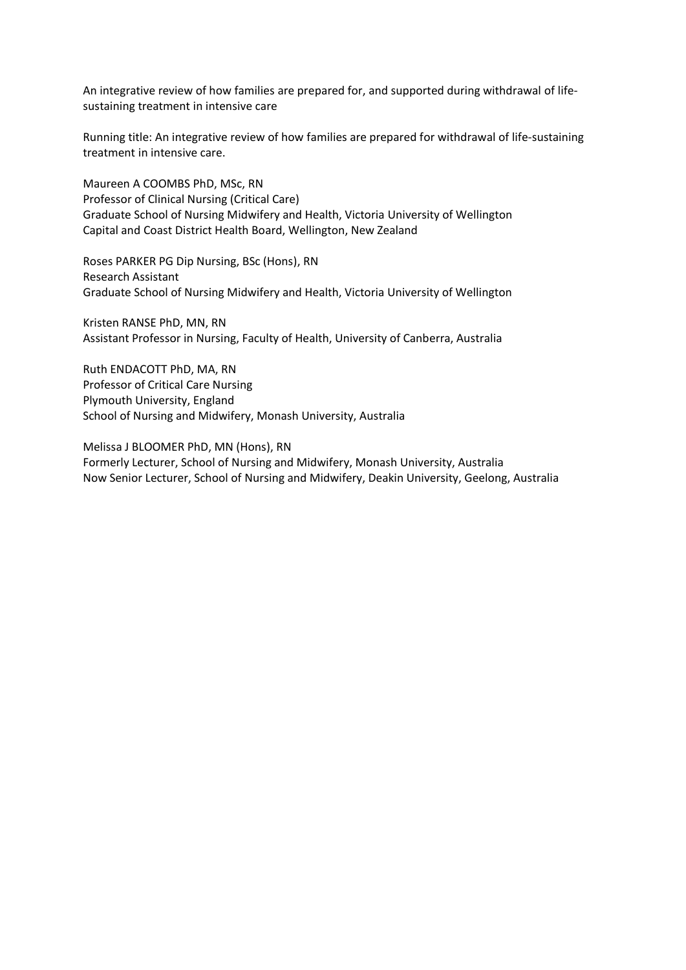An integrative review of how families are prepared for, and supported during withdrawal of lifesustaining treatment in intensive care

Running title: An integrative review of how families are prepared for withdrawal of life-sustaining treatment in intensive care.

Maureen A COOMBS PhD, MSc, RN Professor of Clinical Nursing (Critical Care) Graduate School of Nursing Midwifery and Health, Victoria University of Wellington Capital and Coast District Health Board, Wellington, New Zealand

Roses PARKER PG Dip Nursing, BSc (Hons), RN Research Assistant Graduate School of Nursing Midwifery and Health, Victoria University of Wellington

Kristen RANSE PhD, MN, RN Assistant Professor in Nursing, Faculty of Health, University of Canberra, Australia

Ruth ENDACOTT PhD, MA, RN Professor of Critical Care Nursing Plymouth University, England School of Nursing and Midwifery, Monash University, Australia

Melissa J BLOOMER PhD, MN (Hons), RN Formerly Lecturer, School of Nursing and Midwifery, Monash University, Australia Now Senior Lecturer, School of Nursing and Midwifery, Deakin University, Geelong, Australia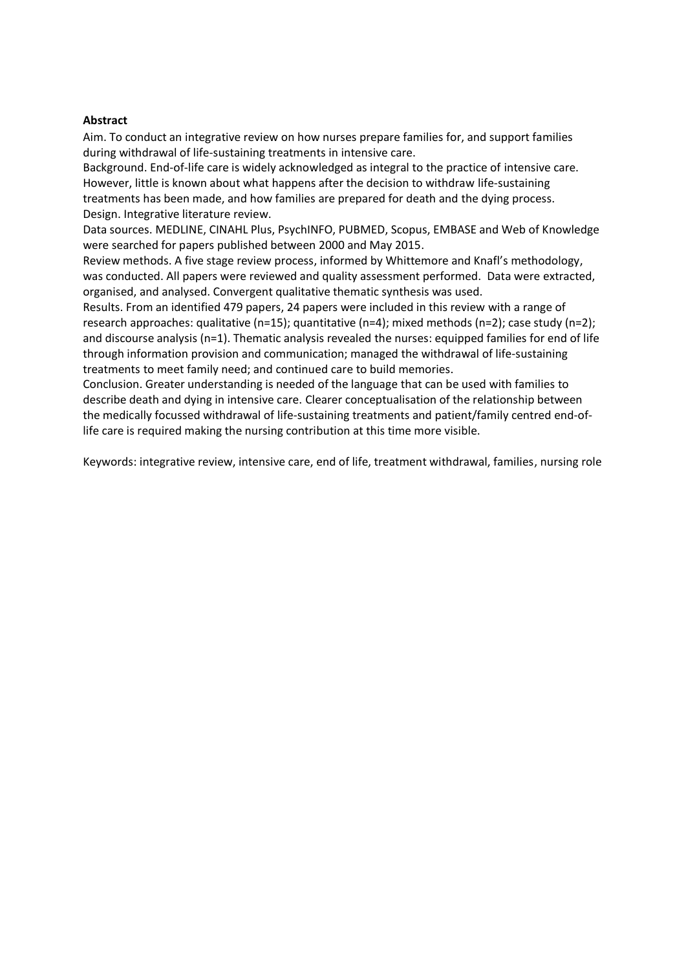# **Abstract**

Aim. To conduct an integrative review on how nurses prepare families for, and support families during withdrawal of life-sustaining treatments in intensive care.

Background. End-of-life care is widely acknowledged as integral to the practice of intensive care. However, little is known about what happens after the decision to withdraw life-sustaining treatments has been made, and how families are prepared for death and the dying process. Design. Integrative literature review.

Data sources. MEDLINE, CINAHL Plus, PsychINFO, PUBMED, Scopus, EMBASE and Web of Knowledge were searched for papers published between 2000 and May 2015.

Review methods. A five stage review process, informed by Whittemore and Knafl's methodology, was conducted. All papers were reviewed and quality assessment performed. Data were extracted, organised, and analysed. Convergent qualitative thematic synthesis was used.

Results. From an identified 479 papers, 24 papers were included in this review with a range of research approaches: qualitative (n=15); quantitative (n=4); mixed methods (n=2); case study (n=2); and discourse analysis (n=1). Thematic analysis revealed the nurses: equipped families for end of life through information provision and communication; managed the withdrawal of life-sustaining treatments to meet family need; and continued care to build memories.

Conclusion. Greater understanding is needed of the language that can be used with families to describe death and dying in intensive care. Clearer conceptualisation of the relationship between the medically focussed withdrawal of life-sustaining treatments and patient/family centred end-oflife care is required making the nursing contribution at this time more visible.

Keywords: integrative review, intensive care, end of life, treatment withdrawal, families, nursing role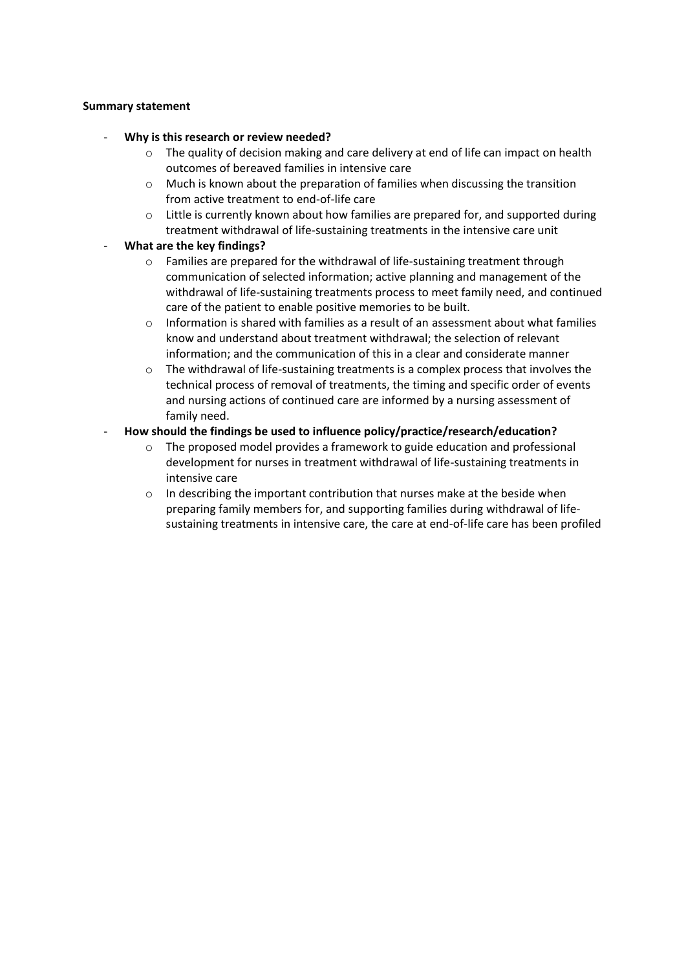# **Summary statement**

# - **Why is this research or review needed?**

- o The quality of decision making and care delivery at end of life can impact on health outcomes of bereaved families in intensive care
- $\circ$  Much is known about the preparation of families when discussing the transition from active treatment to end-of-life care
- o Little is currently known about how families are prepared for, and supported during treatment withdrawal of life-sustaining treatments in the intensive care unit
- **What are the key findings?**
	- o Families are prepared for the withdrawal of life-sustaining treatment through communication of selected information; active planning and management of the withdrawal of life-sustaining treatments process to meet family need, and continued care of the patient to enable positive memories to be built.
	- $\circ$  Information is shared with families as a result of an assessment about what families know and understand about treatment withdrawal; the selection of relevant information; and the communication of this in a clear and considerate manner
	- o The withdrawal of life-sustaining treatments is a complex process that involves the technical process of removal of treatments, the timing and specific order of events and nursing actions of continued care are informed by a nursing assessment of family need.
- **How should the findings be used to influence policy/practice/research/education?**
	- o The proposed model provides a framework to guide education and professional development for nurses in treatment withdrawal of life-sustaining treatments in intensive care
	- o In describing the important contribution that nurses make at the beside when preparing family members for, and supporting families during withdrawal of lifesustaining treatments in intensive care, the care at end-of-life care has been profiled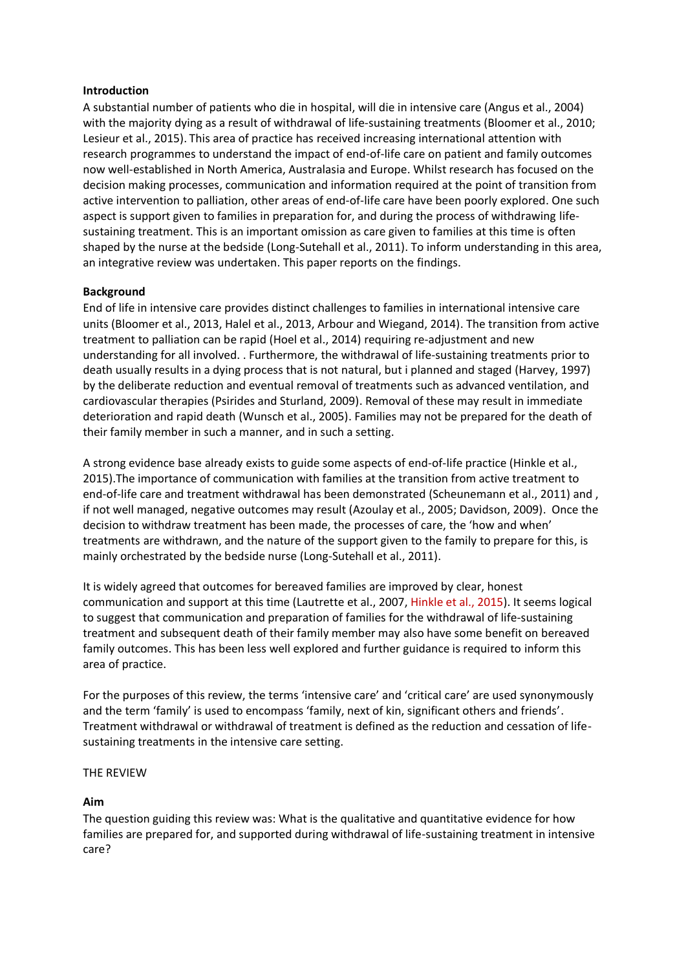### **Introduction**

A substantial number of patients who die in hospital, will die in intensive care (Angus et al., 2004) with the majority dying as a result of withdrawal of life-sustaining treatments (Bloomer et al., 2010; Lesieur et al., 2015). This area of practice has received increasing international attention with research programmes to understand the impact of end-of-life care on patient and family outcomes now well-established in North America, Australasia and Europe. Whilst research has focused on the decision making processes, communication and information required at the point of transition from active intervention to palliation, other areas of end-of-life care have been poorly explored. One such aspect is support given to families in preparation for, and during the process of withdrawing lifesustaining treatment. This is an important omission as care given to families at this time is often shaped by the nurse at the bedside (Long-Sutehall et al., 2011). To inform understanding in this area, an integrative review was undertaken. This paper reports on the findings.

# **Background**

End of life in intensive care provides distinct challenges to families in international intensive care units (Bloomer et al., 2013, Halel et al., 2013, Arbour and Wiegand, 2014). The transition from active treatment to palliation can be rapid (Hoel et al., 2014) requiring re-adjustment and new understanding for all involved. . Furthermore, the withdrawal of life-sustaining treatments prior to death usually results in a dying process that is not natural, but i planned and staged (Harvey, 1997) by the deliberate reduction and eventual removal of treatments such as advanced ventilation, and cardiovascular therapies (Psirides and Sturland, 2009). Removal of these may result in immediate deterioration and rapid death (Wunsch et al., 2005). Families may not be prepared for the death of their family member in such a manner, and in such a setting.

A strong evidence base already exists to guide some aspects of end-of-life practice (Hinkle et al., 2015).The importance of communication with families at the transition from active treatment to end-of-life care and treatment withdrawal has been demonstrated (Scheunemann et al., 2011) and , if not well managed, negative outcomes may result (Azoulay et al., 2005; Davidson, 2009). Once the decision to withdraw treatment has been made, the processes of care, the 'how and when' treatments are withdrawn, and the nature of the support given to the family to prepare for this, is mainly orchestrated by the bedside nurse (Long-Sutehall et al., 2011).

It is widely agreed that outcomes for bereaved families are improved by clear, honest communication and support at this time (Lautrette et al., 2007, Hinkle et al., 2015). It seems logical to suggest that communication and preparation of families for the withdrawal of life-sustaining treatment and subsequent death of their family member may also have some benefit on bereaved family outcomes. This has been less well explored and further guidance is required to inform this area of practice.

For the purposes of this review, the terms 'intensive care' and 'critical care' are used synonymously and the term 'family' is used to encompass 'family, next of kin, significant others and friends'. Treatment withdrawal or withdrawal of treatment is defined as the reduction and cessation of lifesustaining treatments in the intensive care setting.

### THE REVIEW

### **Aim**

The question guiding this review was: What is the qualitative and quantitative evidence for how families are prepared for, and supported during withdrawal of life-sustaining treatment in intensive care?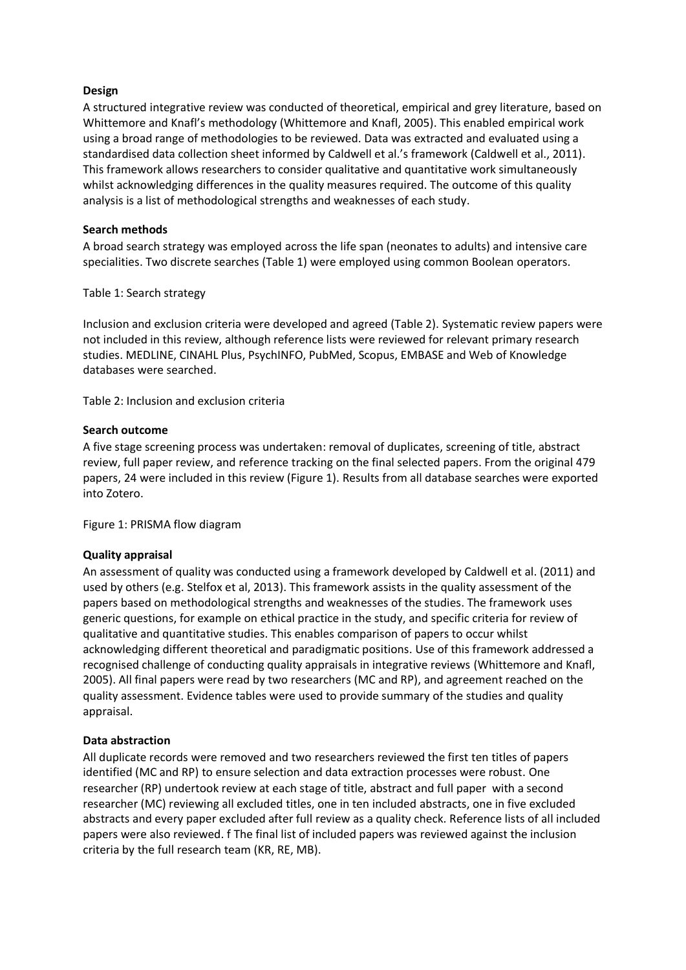# **Design**

A structured integrative review was conducted of theoretical, empirical and grey literature, based on Whittemore and Knafl's methodology (Whittemore and Knafl, 2005). This enabled empirical work using a broad range of methodologies to be reviewed. Data was extracted and evaluated using a standardised data collection sheet informed by Caldwell et al.'s framework (Caldwell et al., 2011). This framework allows researchers to consider qualitative and quantitative work simultaneously whilst acknowledging differences in the quality measures required. The outcome of this quality analysis is a list of methodological strengths and weaknesses of each study.

# **Search methods**

A broad search strategy was employed across the life span (neonates to adults) and intensive care specialities. Two discrete searches (Table 1) were employed using common Boolean operators.

# Table 1: Search strategy

Inclusion and exclusion criteria were developed and agreed (Table 2). Systematic review papers were not included in this review, although reference lists were reviewed for relevant primary research studies. MEDLINE, CINAHL Plus, PsychINFO, PubMed, Scopus, EMBASE and Web of Knowledge databases were searched.

Table 2: Inclusion and exclusion criteria

# **Search outcome**

A five stage screening process was undertaken: removal of duplicates, screening of title, abstract review, full paper review, and reference tracking on the final selected papers. From the original 479 papers, 24 were included in this review (Figure 1). Results from all database searches were exported into Zotero.

Figure 1: PRISMA flow diagram

# **Quality appraisal**

An assessment of quality was conducted using a framework developed by Caldwell et al. (2011) and used by others (e.g. Stelfox et al, 2013). This framework assists in the quality assessment of the papers based on methodological strengths and weaknesses of the studies. The framework uses generic questions, for example on ethical practice in the study, and specific criteria for review of qualitative and quantitative studies. This enables comparison of papers to occur whilst acknowledging different theoretical and paradigmatic positions. Use of this framework addressed a recognised challenge of conducting quality appraisals in integrative reviews (Whittemore and Knafl, 2005). All final papers were read by two researchers (MC and RP), and agreement reached on the quality assessment. Evidence tables were used to provide summary of the studies and quality appraisal.

# **Data abstraction**

All duplicate records were removed and two researchers reviewed the first ten titles of papers identified (MC and RP) to ensure selection and data extraction processes were robust. One researcher (RP) undertook review at each stage of title, abstract and full paper with a second researcher (MC) reviewing all excluded titles, one in ten included abstracts, one in five excluded abstracts and every paper excluded after full review as a quality check. Reference lists of all included papers were also reviewed. f The final list of included papers was reviewed against the inclusion criteria by the full research team (KR, RE, MB).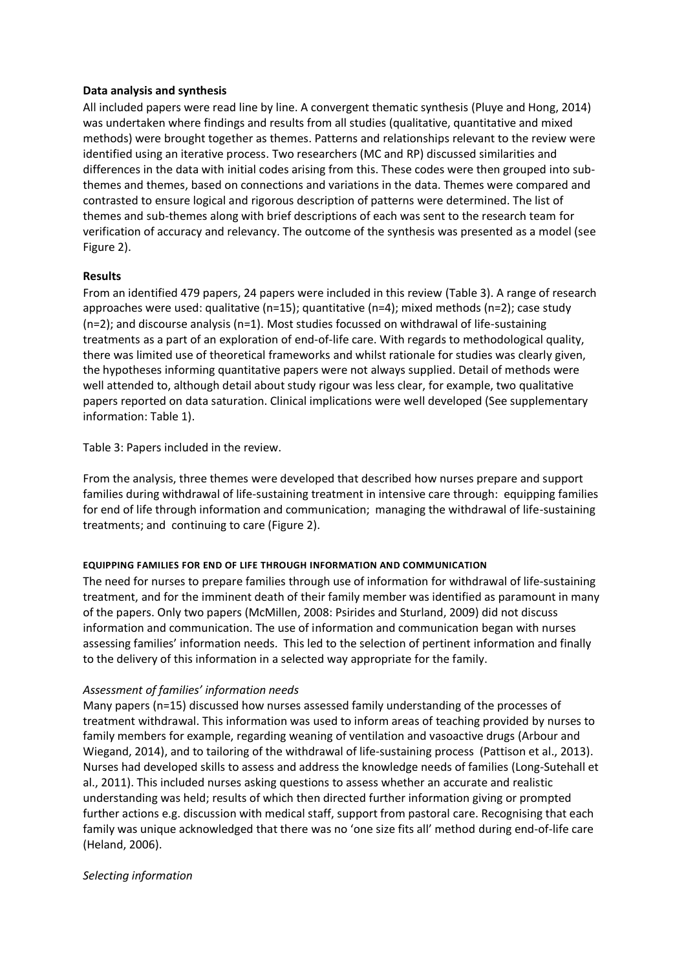# **Data analysis and synthesis**

All included papers were read line by line. A convergent thematic synthesis (Pluye and Hong, 2014) was undertaken where findings and results from all studies (qualitative, quantitative and mixed methods) were brought together as themes. Patterns and relationships relevant to the review were identified using an iterative process. Two researchers (MC and RP) discussed similarities and differences in the data with initial codes arising from this. These codes were then grouped into subthemes and themes, based on connections and variations in the data. Themes were compared and contrasted to ensure logical and rigorous description of patterns were determined. The list of themes and sub-themes along with brief descriptions of each was sent to the research team for verification of accuracy and relevancy. The outcome of the synthesis was presented as a model (see Figure 2).

# **Results**

From an identified 479 papers, 24 papers were included in this review (Table 3). A range of research approaches were used: qualitative (n=15); quantitative (n=4); mixed methods (n=2); case study (n=2); and discourse analysis (n=1). Most studies focussed on withdrawal of life-sustaining treatments as a part of an exploration of end-of-life care. With regards to methodological quality, there was limited use of theoretical frameworks and whilst rationale for studies was clearly given, the hypotheses informing quantitative papers were not always supplied. Detail of methods were well attended to, although detail about study rigour was less clear, for example, two qualitative papers reported on data saturation. Clinical implications were well developed (See supplementary information: Table 1).

Table 3: Papers included in the review.

From the analysis, three themes were developed that described how nurses prepare and support families during withdrawal of life-sustaining treatment in intensive care through: equipping families for end of life through information and communication; managing the withdrawal of life-sustaining treatments; and continuing to care (Figure 2).

# **EQUIPPING FAMILIES FOR END OF LIFE THROUGH INFORMATION AND COMMUNICATION**

The need for nurses to prepare families through use of information for withdrawal of life-sustaining treatment, and for the imminent death of their family member was identified as paramount in many of the papers. Only two papers (McMillen, 2008: Psirides and Sturland, 2009) did not discuss information and communication. The use of information and communication began with nurses assessing families' information needs. This led to the selection of pertinent information and finally to the delivery of this information in a selected way appropriate for the family.

# *Assessment of families' information needs*

Many papers (n=15) discussed how nurses assessed family understanding of the processes of treatment withdrawal. This information was used to inform areas of teaching provided by nurses to family members for example, regarding weaning of ventilation and vasoactive drugs (Arbour and Wiegand, 2014), and to tailoring of the withdrawal of life-sustaining process (Pattison et al., 2013). Nurses had developed skills to assess and address the knowledge needs of families (Long-Sutehall et al., 2011). This included nurses asking questions to assess whether an accurate and realistic understanding was held; results of which then directed further information giving or prompted further actions e.g. discussion with medical staff, support from pastoral care. Recognising that each family was unique acknowledged that there was no 'one size fits all' method during end-of-life care (Heland, 2006).

# *Selecting information*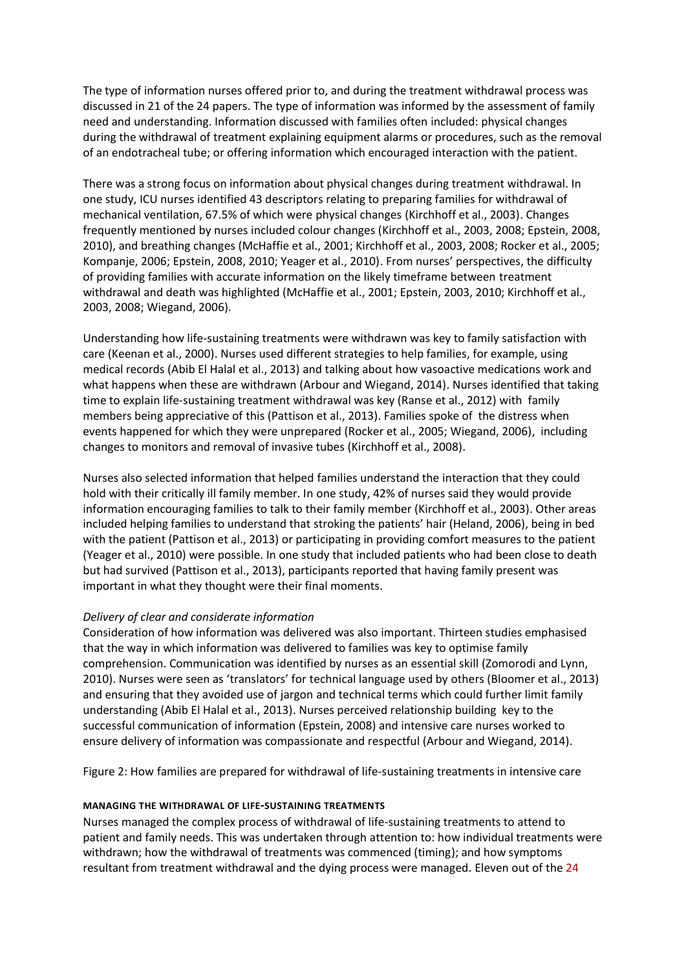The type of information nurses offered prior to, and during the treatment withdrawal process was discussed in 21 of the 24 papers. The type of information was informed by the assessment of family need and understanding. Information discussed with families often included: physical changes during the withdrawal of treatment explaining equipment alarms or procedures, such as the removal of an endotracheal tube; or offering information which encouraged interaction with the patient.

There was a strong focus on information about physical changes during treatment withdrawal. In one study, ICU nurses identified 43 descriptors relating to preparing families for withdrawal of mechanical ventilation, 67.5% of which were physical changes (Kirchhoff et al., 2003). Changes frequently mentioned by nurses included colour changes (Kirchhoff et al., 2003, 2008; Epstein, 2008, 2010), and breathing changes (McHaffie et al., 2001; Kirchhoff et al., 2003, 2008; Rocker et al., 2005; Kompanje, 2006; Epstein, 2008, 2010; Yeager et al., 2010). From nurses' perspectives, the difficulty of providing families with accurate information on the likely timeframe between treatment withdrawal and death was highlighted (McHaffie et al., 2001; Epstein, 2003, 2010; Kirchhoff et al., 2003, 2008; Wiegand, 2006).

Understanding how life-sustaining treatments were withdrawn was key to family satisfaction with care (Keenan et al., 2000). Nurses used different strategies to help families, for example, using medical records (Abib El Halal et al., 2013) and talking about how vasoactive medications work and what happens when these are withdrawn (Arbour and Wiegand, 2014). Nurses identified that taking time to explain life-sustaining treatment withdrawal was key (Ranse et al., 2012) with family members being appreciative of this (Pattison et al., 2013). Families spoke of the distress when events happened for which they were unprepared (Rocker et al., 2005; Wiegand, 2006), including changes to monitors and removal of invasive tubes (Kirchhoff et al., 2008).

Nurses also selected information that helped families understand the interaction that they could hold with their critically ill family member. In one study, 42% of nurses said they would provide information encouraging families to talk to their family member (Kirchhoff et al., 2003). Other areas included helping families to understand that stroking the patients' hair (Heland, 2006), being in bed with the patient (Pattison et al., 2013) or participating in providing comfort measures to the patient (Yeager et al., 2010) were possible. In one study that included patients who had been close to death but had survived (Pattison et al., 2013), participants reported that having family present was important in what they thought were their final moments.

# *Delivery of clear and considerate information*

Consideration of how information was delivered was also important. Thirteen studies emphasised that the way in which information was delivered to families was key to optimise family comprehension. Communication was identified by nurses as an essential skill (Zomorodi and Lynn, 2010). Nurses were seen as 'translators' for technical language used by others (Bloomer et al., 2013) and ensuring that they avoided use of jargon and technical terms which could further limit family understanding (Abib El Halal et al., 2013). Nurses perceived relationship building key to the successful communication of information (Epstein, 2008) and intensive care nurses worked to ensure delivery of information was compassionate and respectful (Arbour and Wiegand, 2014).

Figure 2: How families are prepared for withdrawal of life-sustaining treatments in intensive care

# **MANAGING THE WITHDRAWAL OF LIFE-SUSTAINING TREATMENTS**

Nurses managed the complex process of withdrawal of life-sustaining treatments to attend to patient and family needs. This was undertaken through attention to: how individual treatments were withdrawn; how the withdrawal of treatments was commenced (timing); and how symptoms resultant from treatment withdrawal and the dying process were managed. Eleven out of the 24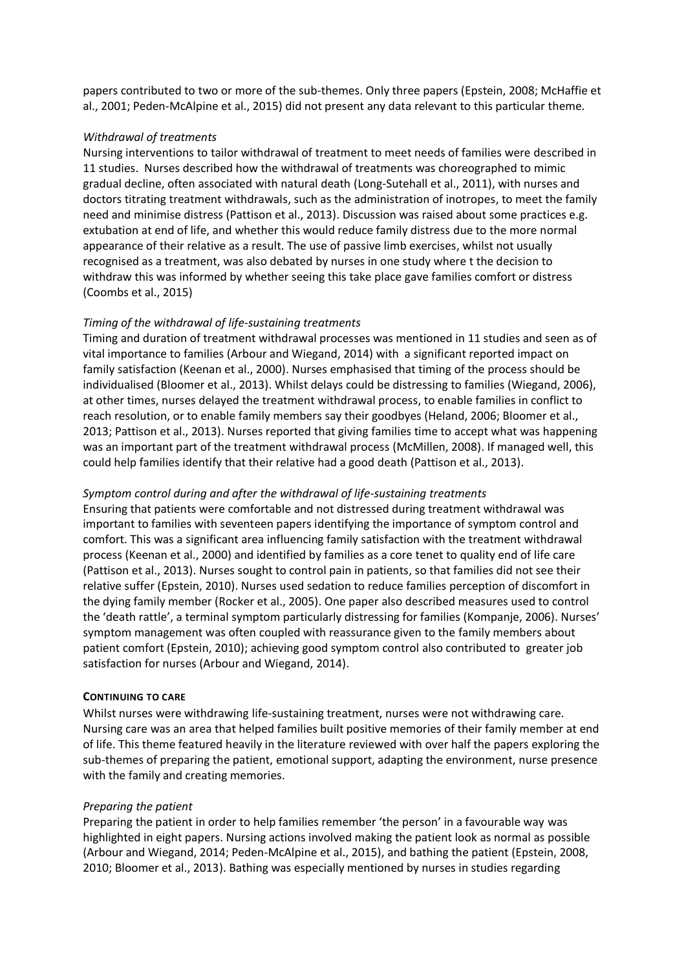papers contributed to two or more of the sub-themes. Only three papers (Epstein, 2008; McHaffie et al., 2001; Peden-McAlpine et al., 2015) did not present any data relevant to this particular theme.

### *Withdrawal of treatments*

Nursing interventions to tailor withdrawal of treatment to meet needs of families were described in 11 studies. Nurses described how the withdrawal of treatments was choreographed to mimic gradual decline, often associated with natural death (Long-Sutehall et al., 2011), with nurses and doctors titrating treatment withdrawals, such as the administration of inotropes, to meet the family need and minimise distress (Pattison et al., 2013). Discussion was raised about some practices e.g. extubation at end of life, and whether this would reduce family distress due to the more normal appearance of their relative as a result. The use of passive limb exercises, whilst not usually recognised as a treatment, was also debated by nurses in one study where t the decision to withdraw this was informed by whether seeing this take place gave families comfort or distress (Coombs et al., 2015)

### *Timing of the withdrawal of life-sustaining treatments*

Timing and duration of treatment withdrawal processes was mentioned in 11 studies and seen as of vital importance to families (Arbour and Wiegand, 2014) with a significant reported impact on family satisfaction (Keenan et al., 2000). Nurses emphasised that timing of the process should be individualised (Bloomer et al., 2013). Whilst delays could be distressing to families (Wiegand, 2006), at other times, nurses delayed the treatment withdrawal process, to enable families in conflict to reach resolution, or to enable family members say their goodbyes (Heland, 2006; Bloomer et al., 2013; Pattison et al., 2013). Nurses reported that giving families time to accept what was happening was an important part of the treatment withdrawal process (McMillen, 2008). If managed well, this could help families identify that their relative had a good death (Pattison et al., 2013).

### *Symptom control during and after the withdrawal of life-sustaining treatments*

Ensuring that patients were comfortable and not distressed during treatment withdrawal was important to families with seventeen papers identifying the importance of symptom control and comfort. This was a significant area influencing family satisfaction with the treatment withdrawal process (Keenan et al., 2000) and identified by families as a core tenet to quality end of life care (Pattison et al., 2013). Nurses sought to control pain in patients, so that families did not see their relative suffer (Epstein, 2010). Nurses used sedation to reduce families perception of discomfort in the dying family member (Rocker et al., 2005). One paper also described measures used to control the 'death rattle', a terminal symptom particularly distressing for families (Kompanje, 2006). Nurses' symptom management was often coupled with reassurance given to the family members about patient comfort (Epstein, 2010); achieving good symptom control also contributed to greater job satisfaction for nurses (Arbour and Wiegand, 2014).

### **CONTINUING TO CARE**

Whilst nurses were withdrawing life-sustaining treatment, nurses were not withdrawing care. Nursing care was an area that helped families built positive memories of their family member at end of life. This theme featured heavily in the literature reviewed with over half the papers exploring the sub-themes of preparing the patient, emotional support, adapting the environment, nurse presence with the family and creating memories.

#### *Preparing the patient*

Preparing the patient in order to help families remember 'the person' in a favourable way was highlighted in eight papers. Nursing actions involved making the patient look as normal as possible (Arbour and Wiegand, 2014; Peden-McAlpine et al., 2015), and bathing the patient (Epstein, 2008, 2010; Bloomer et al., 2013). Bathing was especially mentioned by nurses in studies regarding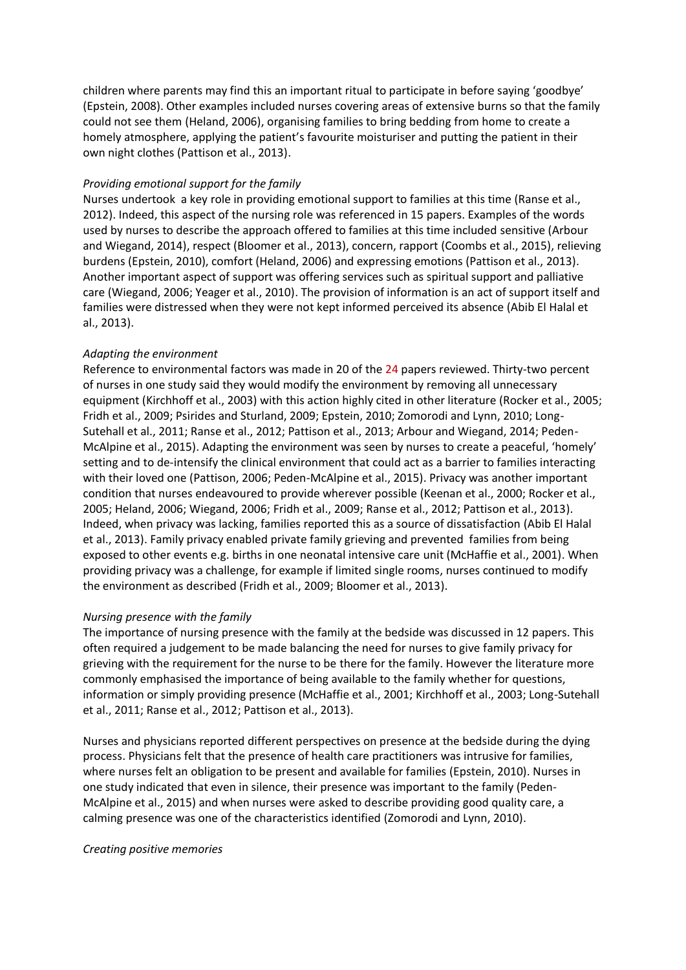children where parents may find this an important ritual to participate in before saying 'goodbye' (Epstein, 2008). Other examples included nurses covering areas of extensive burns so that the family could not see them (Heland, 2006), organising families to bring bedding from home to create a homely atmosphere, applying the patient's favourite moisturiser and putting the patient in their own night clothes (Pattison et al., 2013).

### *Providing emotional support for the family*

Nurses undertook a key role in providing emotional support to families at this time (Ranse et al., 2012). Indeed, this aspect of the nursing role was referenced in 15 papers. Examples of the words used by nurses to describe the approach offered to families at this time included sensitive (Arbour and Wiegand, 2014), respect (Bloomer et al., 2013), concern, rapport (Coombs et al., 2015), relieving burdens (Epstein, 2010), comfort (Heland, 2006) and expressing emotions (Pattison et al., 2013). Another important aspect of support was offering services such as spiritual support and palliative care (Wiegand, 2006; Yeager et al., 2010). The provision of information is an act of support itself and families were distressed when they were not kept informed perceived its absence (Abib El Halal et al., 2013).

# *Adapting the environment*

Reference to environmental factors was made in 20 of the 24 papers reviewed. Thirty-two percent of nurses in one study said they would modify the environment by removing all unnecessary equipment (Kirchhoff et al., 2003) with this action highly cited in other literature (Rocker et al., 2005; Fridh et al., 2009; Psirides and Sturland, 2009; Epstein, 2010; Zomorodi and Lynn, 2010; Long-Sutehall et al., 2011; Ranse et al., 2012; Pattison et al., 2013; Arbour and Wiegand, 2014; Peden-McAlpine et al., 2015). Adapting the environment was seen by nurses to create a peaceful, 'homely' setting and to de-intensify the clinical environment that could act as a barrier to families interacting with their loved one (Pattison, 2006; Peden-McAlpine et al., 2015). Privacy was another important condition that nurses endeavoured to provide wherever possible (Keenan et al., 2000; Rocker et al., 2005; Heland, 2006; Wiegand, 2006; Fridh et al., 2009; Ranse et al., 2012; Pattison et al., 2013). Indeed, when privacy was lacking, families reported this as a source of dissatisfaction (Abib El Halal et al., 2013). Family privacy enabled private family grieving and prevented families from being exposed to other events e.g. births in one neonatal intensive care unit (McHaffie et al., 2001). When providing privacy was a challenge, for example if limited single rooms, nurses continued to modify the environment as described (Fridh et al., 2009; Bloomer et al., 2013).

# *Nursing presence with the family*

The importance of nursing presence with the family at the bedside was discussed in 12 papers. This often required a judgement to be made balancing the need for nurses to give family privacy for grieving with the requirement for the nurse to be there for the family. However the literature more commonly emphasised the importance of being available to the family whether for questions, information or simply providing presence (McHaffie et al., 2001; Kirchhoff et al., 2003; Long-Sutehall et al., 2011; Ranse et al., 2012; Pattison et al., 2013).

Nurses and physicians reported different perspectives on presence at the bedside during the dying process. Physicians felt that the presence of health care practitioners was intrusive for families, where nurses felt an obligation to be present and available for families (Epstein, 2010). Nurses in one study indicated that even in silence, their presence was important to the family (Peden-McAlpine et al., 2015) and when nurses were asked to describe providing good quality care, a calming presence was one of the characteristics identified (Zomorodi and Lynn, 2010).

### *Creating positive memories*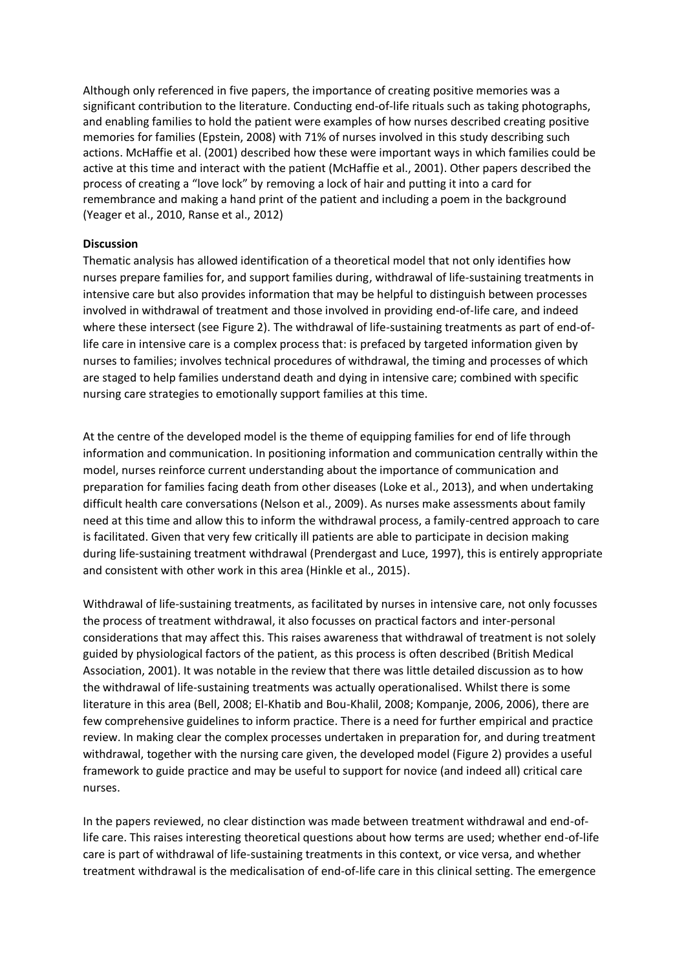Although only referenced in five papers, the importance of creating positive memories was a significant contribution to the literature. Conducting end-of-life rituals such as taking photographs, and enabling families to hold the patient were examples of how nurses described creating positive memories for families (Epstein, 2008) with 71% of nurses involved in this study describing such actions. McHaffie et al. (2001) described how these were important ways in which families could be active at this time and interact with the patient (McHaffie et al., 2001). Other papers described the process of creating a "love lock" by removing a lock of hair and putting it into a card for remembrance and making a hand print of the patient and including a poem in the background (Yeager et al., 2010, Ranse et al., 2012)

# **Discussion**

Thematic analysis has allowed identification of a theoretical model that not only identifies how nurses prepare families for, and support families during, withdrawal of life-sustaining treatments in intensive care but also provides information that may be helpful to distinguish between processes involved in withdrawal of treatment and those involved in providing end-of-life care, and indeed where these intersect (see Figure 2). The withdrawal of life-sustaining treatments as part of end-oflife care in intensive care is a complex process that: is prefaced by targeted information given by nurses to families; involves technical procedures of withdrawal, the timing and processes of which are staged to help families understand death and dying in intensive care; combined with specific nursing care strategies to emotionally support families at this time.

At the centre of the developed model is the theme of equipping families for end of life through information and communication. In positioning information and communication centrally within the model, nurses reinforce current understanding about the importance of communication and preparation for families facing death from other diseases (Loke et al., 2013), and when undertaking difficult health care conversations (Nelson et al., 2009). As nurses make assessments about family need at this time and allow this to inform the withdrawal process, a family-centred approach to care is facilitated. Given that very few critically ill patients are able to participate in decision making during life-sustaining treatment withdrawal (Prendergast and Luce, 1997), this is entirely appropriate and consistent with other work in this area (Hinkle et al., 2015).

Withdrawal of life-sustaining treatments, as facilitated by nurses in intensive care, not only focusses the process of treatment withdrawal, it also focusses on practical factors and inter-personal considerations that may affect this. This raises awareness that withdrawal of treatment is not solely guided by physiological factors of the patient, as this process is often described (British Medical Association, 2001). It was notable in the review that there was little detailed discussion as to how the withdrawal of life-sustaining treatments was actually operationalised. Whilst there is some literature in this area (Bell, 2008; El-Khatib and Bou-Khalil, 2008; Kompanje, 2006, 2006), there are few comprehensive guidelines to inform practice. There is a need for further empirical and practice review. In making clear the complex processes undertaken in preparation for, and during treatment withdrawal, together with the nursing care given, the developed model (Figure 2) provides a useful framework to guide practice and may be useful to support for novice (and indeed all) critical care nurses.

In the papers reviewed, no clear distinction was made between treatment withdrawal and end-oflife care. This raises interesting theoretical questions about how terms are used; whether end-of-life care is part of withdrawal of life-sustaining treatments in this context, or vice versa, and whether treatment withdrawal is the medicalisation of end-of-life care in this clinical setting. The emergence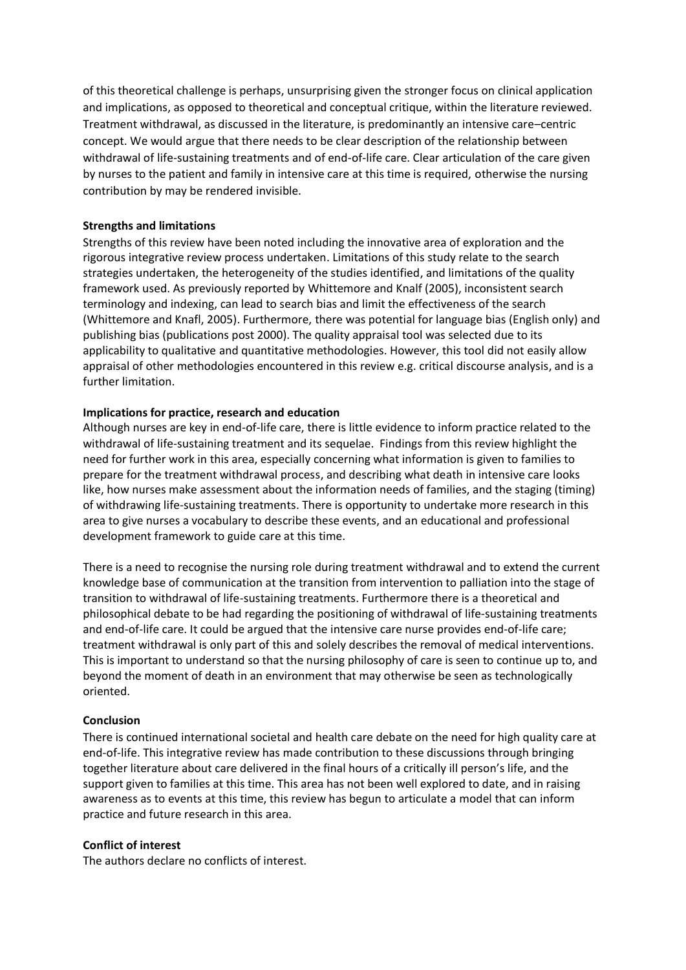of this theoretical challenge is perhaps, unsurprising given the stronger focus on clinical application and implications, as opposed to theoretical and conceptual critique, within the literature reviewed. Treatment withdrawal, as discussed in the literature, is predominantly an intensive care–centric concept. We would argue that there needs to be clear description of the relationship between withdrawal of life-sustaining treatments and of end-of-life care. Clear articulation of the care given by nurses to the patient and family in intensive care at this time is required, otherwise the nursing contribution by may be rendered invisible.

# **Strengths and limitations**

Strengths of this review have been noted including the innovative area of exploration and the rigorous integrative review process undertaken. Limitations of this study relate to the search strategies undertaken, the heterogeneity of the studies identified, and limitations of the quality framework used. As previously reported by Whittemore and Knalf (2005), inconsistent search terminology and indexing, can lead to search bias and limit the effectiveness of the search (Whittemore and Knafl, 2005). Furthermore, there was potential for language bias (English only) and publishing bias (publications post 2000). The quality appraisal tool was selected due to its applicability to qualitative and quantitative methodologies. However, this tool did not easily allow appraisal of other methodologies encountered in this review e.g. critical discourse analysis, and is a further limitation.

### **Implications for practice, research and education**

Although nurses are key in end-of-life care, there is little evidence to inform practice related to the withdrawal of life-sustaining treatment and its sequelae. Findings from this review highlight the need for further work in this area, especially concerning what information is given to families to prepare for the treatment withdrawal process, and describing what death in intensive care looks like, how nurses make assessment about the information needs of families, and the staging (timing) of withdrawing life-sustaining treatments. There is opportunity to undertake more research in this area to give nurses a vocabulary to describe these events, and an educational and professional development framework to guide care at this time.

There is a need to recognise the nursing role during treatment withdrawal and to extend the current knowledge base of communication at the transition from intervention to palliation into the stage of transition to withdrawal of life-sustaining treatments. Furthermore there is a theoretical and philosophical debate to be had regarding the positioning of withdrawal of life-sustaining treatments and end-of-life care. It could be argued that the intensive care nurse provides end-of-life care; treatment withdrawal is only part of this and solely describes the removal of medical interventions. This is important to understand so that the nursing philosophy of care is seen to continue up to, and beyond the moment of death in an environment that may otherwise be seen as technologically oriented.

### **Conclusion**

There is continued international societal and health care debate on the need for high quality care at end-of-life. This integrative review has made contribution to these discussions through bringing together literature about care delivered in the final hours of a critically ill person's life, and the support given to families at this time. This area has not been well explored to date, and in raising awareness as to events at this time, this review has begun to articulate a model that can inform practice and future research in this area.

### **Conflict of interest**

The authors declare no conflicts of interest.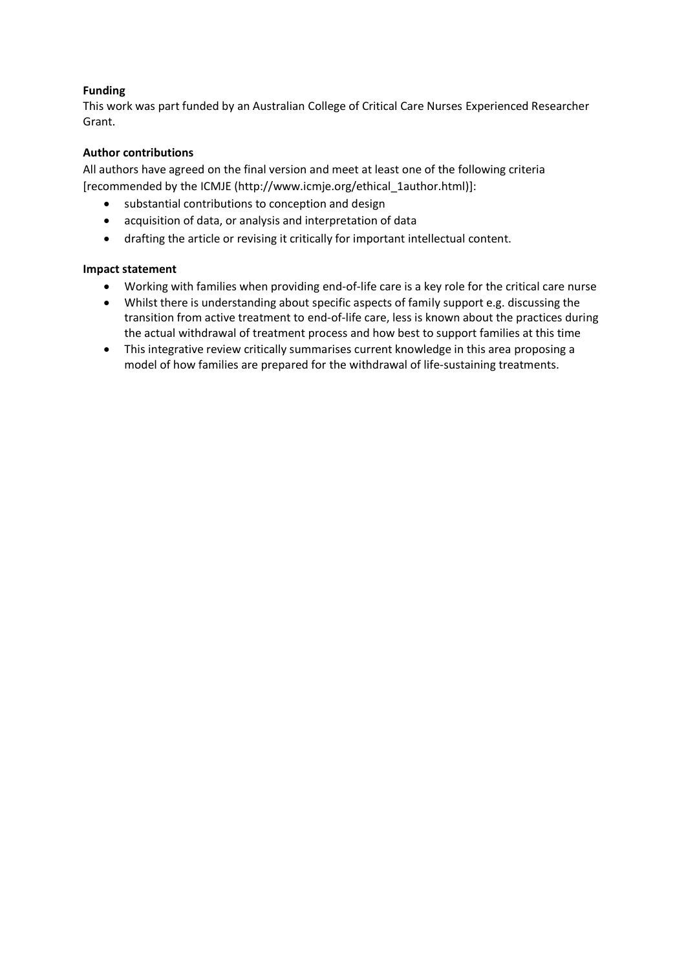# **Funding**

This work was part funded by an Australian College of Critical Care Nurses Experienced Researcher Grant.

# **Author contributions**

All authors have agreed on the final version and meet at least one of the following criteria [recommended by the ICMJE (http://www.icmje.org/ethical\_1author.html)]:

- substantial contributions to conception and design
- acquisition of data, or analysis and interpretation of data
- drafting the article or revising it critically for important intellectual content.

# **Impact statement**

- Working with families when providing end-of-life care is a key role for the critical care nurse
- Whilst there is understanding about specific aspects of family support e.g. discussing the transition from active treatment to end-of-life care, less is known about the practices during the actual withdrawal of treatment process and how best to support families at this time
- This integrative review critically summarises current knowledge in this area proposing a model of how families are prepared for the withdrawal of life-sustaining treatments.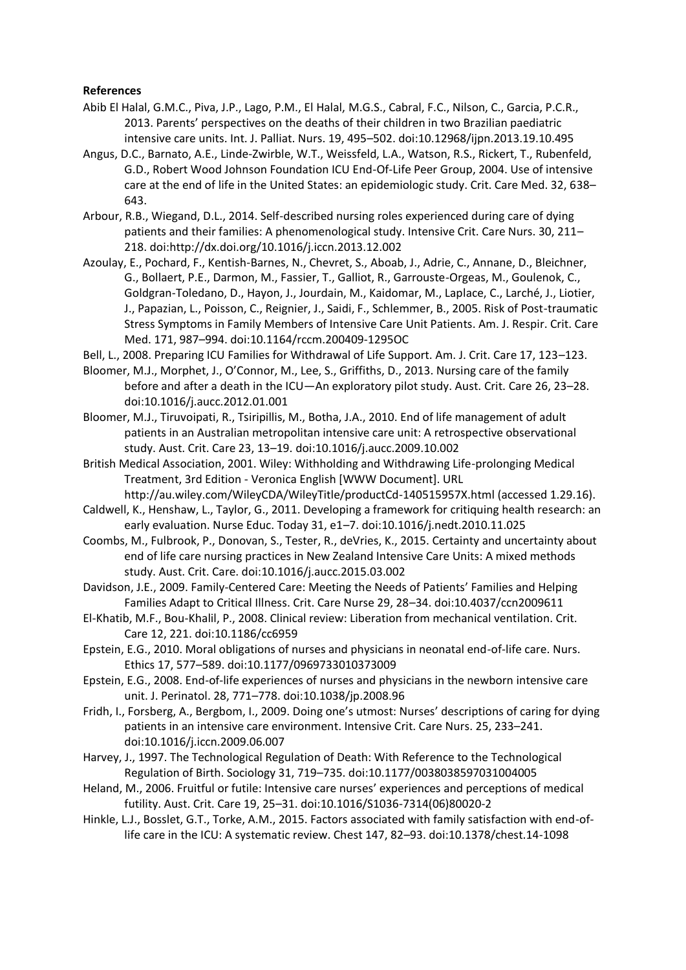# **References**

- Abib El Halal, G.M.C., Piva, J.P., Lago, P.M., El Halal, M.G.S., Cabral, F.C., Nilson, C., Garcia, P.C.R., 2013. Parents' perspectives on the deaths of their children in two Brazilian paediatric intensive care units. Int. J. Palliat. Nurs. 19, 495–502. doi:10.12968/ijpn.2013.19.10.495
- Angus, D.C., Barnato, A.E., Linde-Zwirble, W.T., Weissfeld, L.A., Watson, R.S., Rickert, T., Rubenfeld, G.D., Robert Wood Johnson Foundation ICU End-Of-Life Peer Group, 2004. Use of intensive care at the end of life in the United States: an epidemiologic study. Crit. Care Med. 32, 638– 643.
- Arbour, R.B., Wiegand, D.L., 2014. Self-described nursing roles experienced during care of dying patients and their families: A phenomenological study. Intensive Crit. Care Nurs. 30, 211– 218. doi:http://dx.doi.org/10.1016/j.iccn.2013.12.002
- Azoulay, E., Pochard, F., Kentish-Barnes, N., Chevret, S., Aboab, J., Adrie, C., Annane, D., Bleichner, G., Bollaert, P.E., Darmon, M., Fassier, T., Galliot, R., Garrouste-Orgeas, M., Goulenok, C., Goldgran-Toledano, D., Hayon, J., Jourdain, M., Kaidomar, M., Laplace, C., Larché, J., Liotier, J., Papazian, L., Poisson, C., Reignier, J., Saidi, F., Schlemmer, B., 2005. Risk of Post-traumatic Stress Symptoms in Family Members of Intensive Care Unit Patients. Am. J. Respir. Crit. Care Med. 171, 987–994. doi:10.1164/rccm.200409-1295OC
- Bell, L., 2008. Preparing ICU Families for Withdrawal of Life Support. Am. J. Crit. Care 17, 123–123.
- Bloomer, M.J., Morphet, J., O'Connor, M., Lee, S., Griffiths, D., 2013. Nursing care of the family before and after a death in the ICU—An exploratory pilot study. Aust. Crit. Care 26, 23–28. doi:10.1016/j.aucc.2012.01.001
- Bloomer, M.J., Tiruvoipati, R., Tsiripillis, M., Botha, J.A., 2010. End of life management of adult patients in an Australian metropolitan intensive care unit: A retrospective observational study. Aust. Crit. Care 23, 13–19. doi:10.1016/j.aucc.2009.10.002
- British Medical Association, 2001. Wiley: Withholding and Withdrawing Life-prolonging Medical Treatment, 3rd Edition - Veronica English [WWW Document]. URL http://au.wiley.com/WileyCDA/WileyTitle/productCd-140515957X.html (accessed 1.29.16).
- Caldwell, K., Henshaw, L., Taylor, G., 2011. Developing a framework for critiquing health research: an early evaluation. Nurse Educ. Today 31, e1–7. doi:10.1016/j.nedt.2010.11.025
- Coombs, M., Fulbrook, P., Donovan, S., Tester, R., deVries, K., 2015. Certainty and uncertainty about end of life care nursing practices in New Zealand Intensive Care Units: A mixed methods study. Aust. Crit. Care. doi:10.1016/j.aucc.2015.03.002
- Davidson, J.E., 2009. Family-Centered Care: Meeting the Needs of Patients' Families and Helping Families Adapt to Critical Illness. Crit. Care Nurse 29, 28–34. doi:10.4037/ccn2009611
- El-Khatib, M.F., Bou-Khalil, P., 2008. Clinical review: Liberation from mechanical ventilation. Crit. Care 12, 221. doi:10.1186/cc6959
- Epstein, E.G., 2010. Moral obligations of nurses and physicians in neonatal end-of-life care. Nurs. Ethics 17, 577–589. doi:10.1177/0969733010373009
- Epstein, E.G., 2008. End-of-life experiences of nurses and physicians in the newborn intensive care unit. J. Perinatol. 28, 771–778. doi:10.1038/jp.2008.96
- Fridh, I., Forsberg, A., Bergbom, I., 2009. Doing one's utmost: Nurses' descriptions of caring for dying patients in an intensive care environment. Intensive Crit. Care Nurs. 25, 233–241. doi:10.1016/j.iccn.2009.06.007
- Harvey, J., 1997. The Technological Regulation of Death: With Reference to the Technological Regulation of Birth. Sociology 31, 719–735. doi:10.1177/0038038597031004005
- Heland, M., 2006. Fruitful or futile: Intensive care nurses' experiences and perceptions of medical futility. Aust. Crit. Care 19, 25–31. doi:10.1016/S1036-7314(06)80020-2
- Hinkle, L.J., Bosslet, G.T., Torke, A.M., 2015. Factors associated with family satisfaction with end-oflife care in the ICU: A systematic review. Chest 147, 82–93. doi:10.1378/chest.14-1098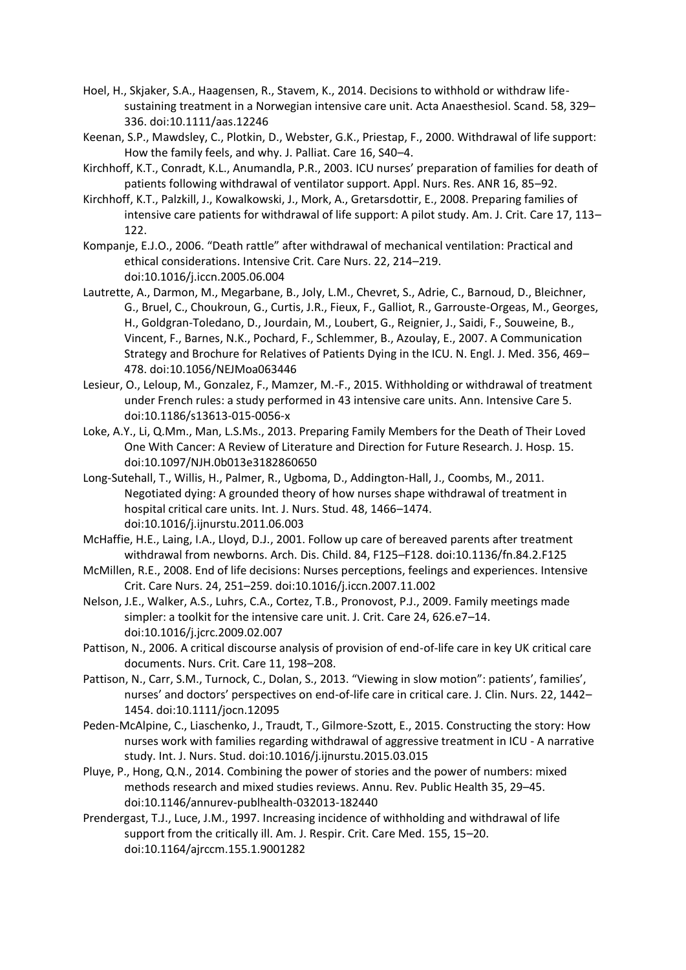- Hoel, H., Skjaker, S.A., Haagensen, R., Stavem, K., 2014. Decisions to withhold or withdraw lifesustaining treatment in a Norwegian intensive care unit. Acta Anaesthesiol. Scand. 58, 329– 336. doi:10.1111/aas.12246
- Keenan, S.P., Mawdsley, C., Plotkin, D., Webster, G.K., Priestap, F., 2000. Withdrawal of life support: How the family feels, and why. J. Palliat. Care 16, S40–4.
- Kirchhoff, K.T., Conradt, K.L., Anumandla, P.R., 2003. ICU nurses' preparation of families for death of patients following withdrawal of ventilator support. Appl. Nurs. Res. ANR 16, 85–92.
- Kirchhoff, K.T., Palzkill, J., Kowalkowski, J., Mork, A., Gretarsdottir, E., 2008. Preparing families of intensive care patients for withdrawal of life support: A pilot study. Am. J. Crit. Care 17, 113– 122.
- Kompanje, E.J.O., 2006. "Death rattle" after withdrawal of mechanical ventilation: Practical and ethical considerations. Intensive Crit. Care Nurs. 22, 214–219. doi:10.1016/j.iccn.2005.06.004
- Lautrette, A., Darmon, M., Megarbane, B., Joly, L.M., Chevret, S., Adrie, C., Barnoud, D., Bleichner, G., Bruel, C., Choukroun, G., Curtis, J.R., Fieux, F., Galliot, R., Garrouste-Orgeas, M., Georges, H., Goldgran-Toledano, D., Jourdain, M., Loubert, G., Reignier, J., Saidi, F., Souweine, B., Vincent, F., Barnes, N.K., Pochard, F., Schlemmer, B., Azoulay, E., 2007. A Communication Strategy and Brochure for Relatives of Patients Dying in the ICU. N. Engl. J. Med. 356, 469– 478. doi:10.1056/NEJMoa063446
- Lesieur, O., Leloup, M., Gonzalez, F., Mamzer, M.-F., 2015. Withholding or withdrawal of treatment under French rules: a study performed in 43 intensive care units. Ann. Intensive Care 5. doi:10.1186/s13613-015-0056-x
- Loke, A.Y., Li, Q.Mm., Man, L.S.Ms., 2013. Preparing Family Members for the Death of Their Loved One With Cancer: A Review of Literature and Direction for Future Research. J. Hosp. 15. doi:10.1097/NJH.0b013e3182860650
- Long-Sutehall, T., Willis, H., Palmer, R., Ugboma, D., Addington-Hall, J., Coombs, M., 2011. Negotiated dying: A grounded theory of how nurses shape withdrawal of treatment in hospital critical care units. Int. J. Nurs. Stud. 48, 1466–1474. doi:10.1016/j.ijnurstu.2011.06.003
- McHaffie, H.E., Laing, I.A., Lloyd, D.J., 2001. Follow up care of bereaved parents after treatment withdrawal from newborns. Arch. Dis. Child. 84, F125–F128. doi:10.1136/fn.84.2.F125
- McMillen, R.E., 2008. End of life decisions: Nurses perceptions, feelings and experiences. Intensive Crit. Care Nurs. 24, 251–259. doi:10.1016/j.iccn.2007.11.002
- Nelson, J.E., Walker, A.S., Luhrs, C.A., Cortez, T.B., Pronovost, P.J., 2009. Family meetings made simpler: a toolkit for the intensive care unit. J. Crit. Care 24, 626.e7–14. doi:10.1016/j.jcrc.2009.02.007
- Pattison, N., 2006. A critical discourse analysis of provision of end-of-life care in key UK critical care documents. Nurs. Crit. Care 11, 198–208.
- Pattison, N., Carr, S.M., Turnock, C., Dolan, S., 2013. "Viewing in slow motion": patients', families', nurses' and doctors' perspectives on end-of-life care in critical care. J. Clin. Nurs. 22, 1442– 1454. doi:10.1111/jocn.12095
- Peden-McAlpine, C., Liaschenko, J., Traudt, T., Gilmore-Szott, E., 2015. Constructing the story: How nurses work with families regarding withdrawal of aggressive treatment in ICU - A narrative study. Int. J. Nurs. Stud. doi:10.1016/j.ijnurstu.2015.03.015
- Pluye, P., Hong, Q.N., 2014. Combining the power of stories and the power of numbers: mixed methods research and mixed studies reviews. Annu. Rev. Public Health 35, 29–45. doi:10.1146/annurev-publhealth-032013-182440
- Prendergast, T.J., Luce, J.M., 1997. Increasing incidence of withholding and withdrawal of life support from the critically ill. Am. J. Respir. Crit. Care Med. 155, 15–20. doi:10.1164/ajrccm.155.1.9001282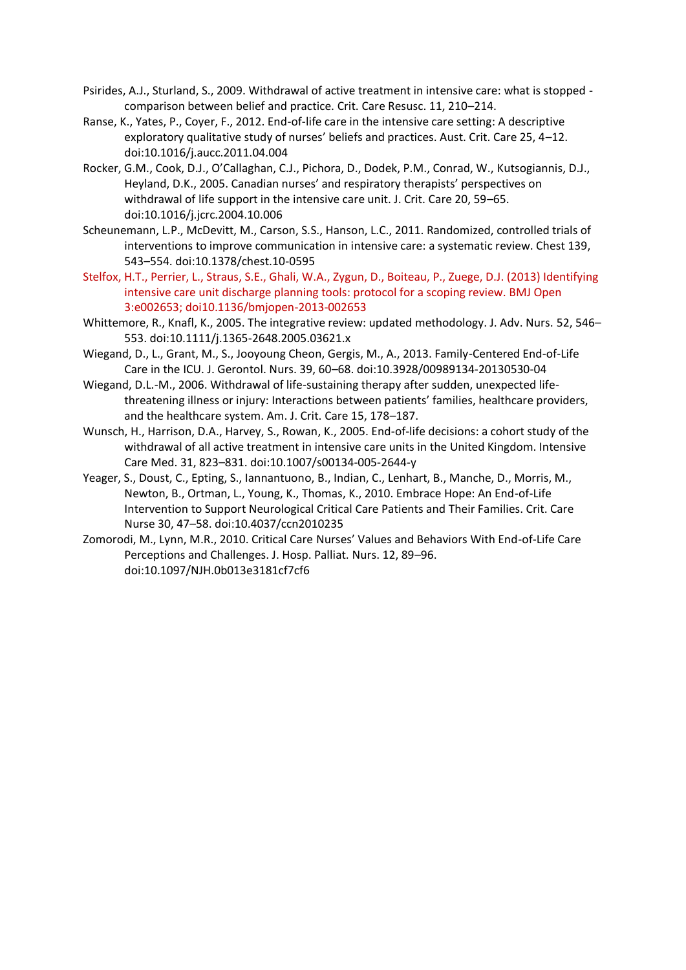- Psirides, A.J., Sturland, S., 2009. Withdrawal of active treatment in intensive care: what is stopped comparison between belief and practice. Crit. Care Resusc. 11, 210–214.
- Ranse, K., Yates, P., Coyer, F., 2012. End-of-life care in the intensive care setting: A descriptive exploratory qualitative study of nurses' beliefs and practices. Aust. Crit. Care 25, 4–12. doi:10.1016/j.aucc.2011.04.004
- Rocker, G.M., Cook, D.J., O'Callaghan, C.J., Pichora, D., Dodek, P.M., Conrad, W., Kutsogiannis, D.J., Heyland, D.K., 2005. Canadian nurses' and respiratory therapists' perspectives on withdrawal of life support in the intensive care unit. J. Crit. Care 20, 59–65. doi:10.1016/j.jcrc.2004.10.006
- Scheunemann, L.P., McDevitt, M., Carson, S.S., Hanson, L.C., 2011. Randomized, controlled trials of interventions to improve communication in intensive care: a systematic review. Chest 139, 543–554. doi:10.1378/chest.10-0595
- Stelfox, H.T., Perrier, L., Straus, S.E., Ghali, W.A., Zygun, D., Boiteau, P., Zuege, D.J. (2013) Identifying intensive care unit discharge planning tools: protocol for a scoping review. BMJ Open 3:e002653; doi10.1136/bmjopen-2013-002653
- Whittemore, R., Knafl, K., 2005. The integrative review: updated methodology. J. Adv. Nurs. 52, 546– 553. doi:10.1111/j.1365-2648.2005.03621.x
- Wiegand, D., L., Grant, M., S., Jooyoung Cheon, Gergis, M., A., 2013. Family-Centered End-of-Life Care in the ICU. J. Gerontol. Nurs. 39, 60–68. doi:10.3928/00989134-20130530-04
- Wiegand, D.L.-M., 2006. Withdrawal of life-sustaining therapy after sudden, unexpected lifethreatening illness or injury: Interactions between patients' families, healthcare providers, and the healthcare system. Am. J. Crit. Care 15, 178–187.
- Wunsch, H., Harrison, D.A., Harvey, S., Rowan, K., 2005. End-of-life decisions: a cohort study of the withdrawal of all active treatment in intensive care units in the United Kingdom. Intensive Care Med. 31, 823–831. doi:10.1007/s00134-005-2644-y
- Yeager, S., Doust, C., Epting, S., Iannantuono, B., Indian, C., Lenhart, B., Manche, D., Morris, M., Newton, B., Ortman, L., Young, K., Thomas, K., 2010. Embrace Hope: An End-of-Life Intervention to Support Neurological Critical Care Patients and Their Families. Crit. Care Nurse 30, 47–58. doi:10.4037/ccn2010235
- Zomorodi, M., Lynn, M.R., 2010. Critical Care Nurses' Values and Behaviors With End-of-Life Care Perceptions and Challenges. J. Hosp. Palliat. Nurs. 12, 89–96. doi:10.1097/NJH.0b013e3181cf7cf6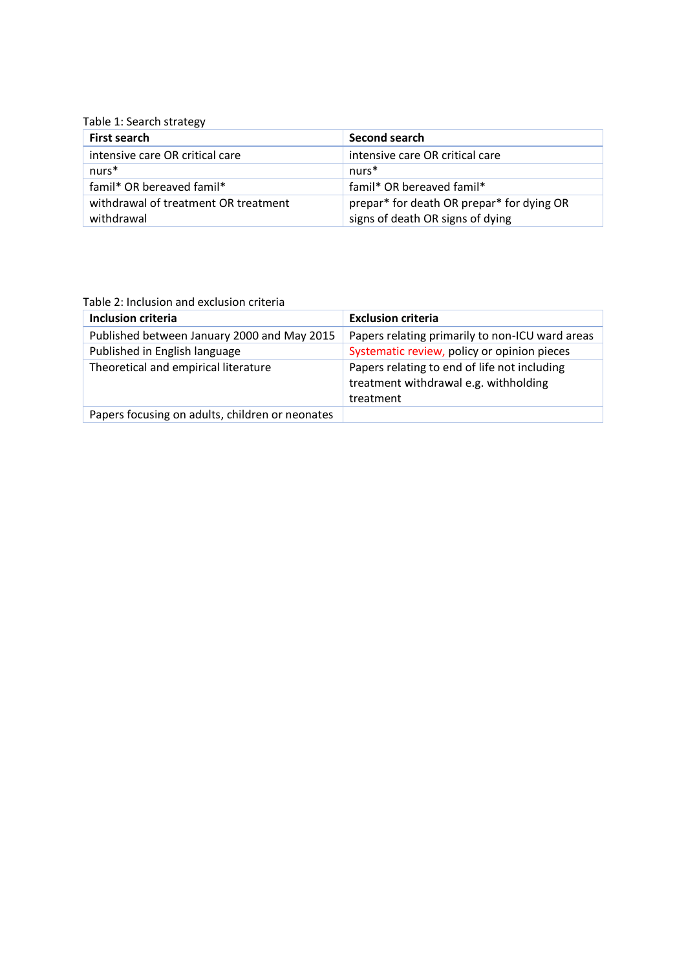| First search                         | Second search                             |
|--------------------------------------|-------------------------------------------|
| intensive care OR critical care      | intensive care OR critical care           |
| $nurs*$                              | $nurs*$                                   |
| famil* OR bereaved famil*            | famil* OR bereaved famil*                 |
| withdrawal of treatment OR treatment | prepar* for death OR prepar* for dying OR |
| withdrawal                           | signs of death OR signs of dying          |

Table 2: Inclusion and exclusion criteria

| Inclusion criteria                              | <b>Exclusion criteria</b>                                                                          |
|-------------------------------------------------|----------------------------------------------------------------------------------------------------|
| Published between January 2000 and May 2015     | Papers relating primarily to non-ICU ward areas                                                    |
| Published in English language                   | Systematic review, policy or opinion pieces                                                        |
| Theoretical and empirical literature            | Papers relating to end of life not including<br>treatment withdrawal e.g. withholding<br>treatment |
| Papers focusing on adults, children or neonates |                                                                                                    |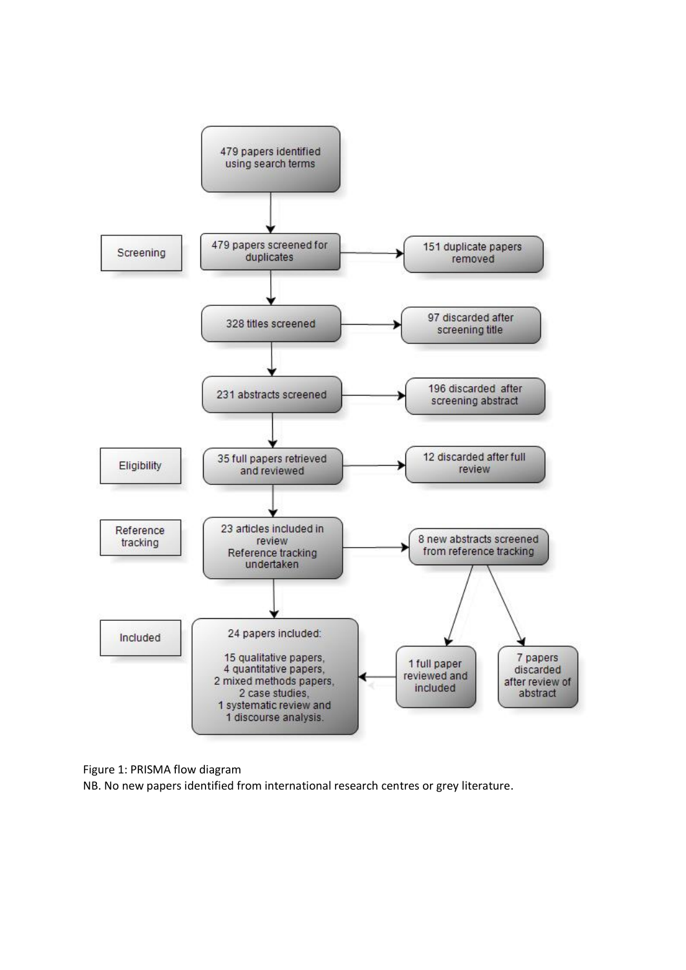

Figure 1: PRISMA flow diagram

NB. No new papers identified from international research centres or grey literature.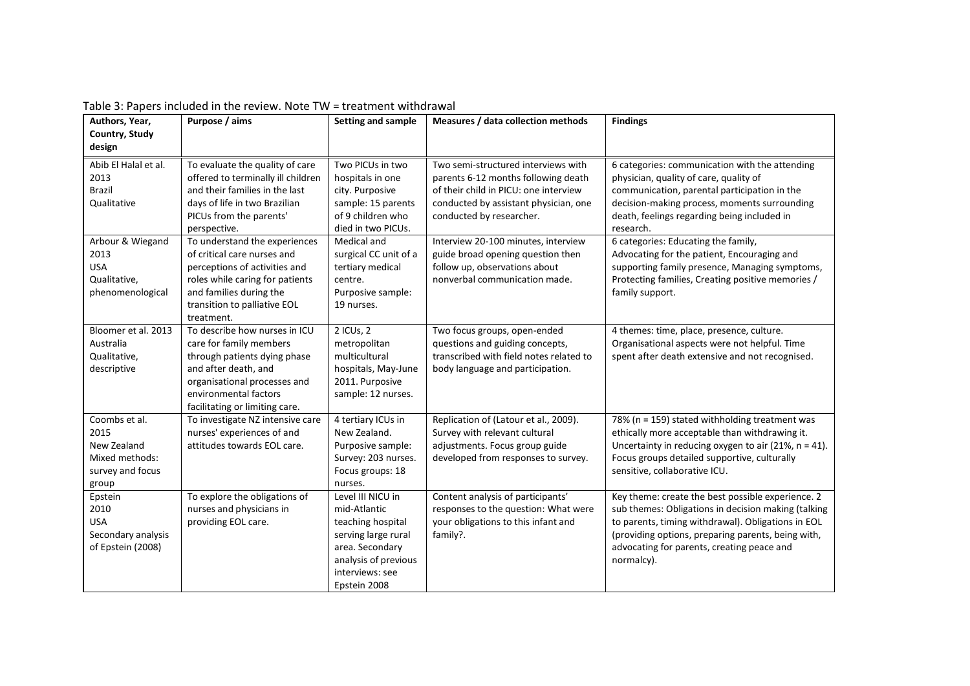| Authors, Year,                                                                           | Purpose / aims                                                                                                                                                                                                                                      | <b>Setting and sample</b>                                                                                                                                        | Measures / data collection methods                                                                                                                                                                                                                                   | <b>Findings</b>                                                                                                                                                                                                                                                                                                                            |
|------------------------------------------------------------------------------------------|-----------------------------------------------------------------------------------------------------------------------------------------------------------------------------------------------------------------------------------------------------|------------------------------------------------------------------------------------------------------------------------------------------------------------------|----------------------------------------------------------------------------------------------------------------------------------------------------------------------------------------------------------------------------------------------------------------------|--------------------------------------------------------------------------------------------------------------------------------------------------------------------------------------------------------------------------------------------------------------------------------------------------------------------------------------------|
| Country, Study<br>design                                                                 |                                                                                                                                                                                                                                                     |                                                                                                                                                                  |                                                                                                                                                                                                                                                                      |                                                                                                                                                                                                                                                                                                                                            |
| Abib El Halal et al.<br>2013<br><b>Brazil</b><br>Qualitative<br>Arbour & Wiegand<br>2013 | To evaluate the quality of care<br>offered to terminally ill children<br>and their families in the last<br>days of life in two Brazilian<br>PICUs from the parents'<br>perspective.<br>To understand the experiences<br>of critical care nurses and | Two PICUs in two<br>hospitals in one<br>city. Purposive<br>sample: 15 parents<br>of 9 children who<br>died in two PICUs.<br>Medical and<br>surgical CC unit of a | Two semi-structured interviews with<br>parents 6-12 months following death<br>of their child in PICU: one interview<br>conducted by assistant physician, one<br>conducted by researcher.<br>Interview 20-100 minutes, interview<br>guide broad opening question then | 6 categories: communication with the attending<br>physician, quality of care, quality of<br>communication, parental participation in the<br>decision-making process, moments surrounding<br>death, feelings regarding being included in<br>research.<br>6 categories: Educating the family,<br>Advocating for the patient, Encouraging and |
| <b>USA</b><br>Qualitative,<br>phenomenological                                           | perceptions of activities and<br>roles while caring for patients<br>and families during the<br>transition to palliative EOL<br>treatment.                                                                                                           | tertiary medical<br>centre.<br>Purposive sample:<br>19 nurses.                                                                                                   | follow up, observations about<br>nonverbal communication made.                                                                                                                                                                                                       | supporting family presence, Managing symptoms,<br>Protecting families, Creating positive memories /<br>family support.                                                                                                                                                                                                                     |
| Bloomer et al. 2013<br>Australia<br>Qualitative,<br>descriptive                          | To describe how nurses in ICU<br>care for family members<br>through patients dying phase<br>and after death, and<br>organisational processes and<br>environmental factors<br>facilitating or limiting care.                                         | 2 ICUs, 2<br>metropolitan<br>multicultural<br>hospitals, May-June<br>2011. Purposive<br>sample: 12 nurses.                                                       | Two focus groups, open-ended<br>questions and guiding concepts,<br>transcribed with field notes related to<br>body language and participation.                                                                                                                       | 4 themes: time, place, presence, culture.<br>Organisational aspects were not helpful. Time<br>spent after death extensive and not recognised.                                                                                                                                                                                              |
| Coombs et al.<br>2015<br>New Zealand<br>Mixed methods:<br>survey and focus<br>group      | To investigate NZ intensive care<br>nurses' experiences of and<br>attitudes towards EOL care.                                                                                                                                                       | 4 tertiary ICUs in<br>New Zealand.<br>Purposive sample:<br>Survey: 203 nurses.<br>Focus groups: 18<br>nurses.                                                    | Replication of (Latour et al., 2009).<br>Survey with relevant cultural<br>adjustments. Focus group guide<br>developed from responses to survey.                                                                                                                      | 78% (n = 159) stated withholding treatment was<br>ethically more acceptable than withdrawing it.<br>Uncertainty in reducing oxygen to air (21%, $n = 41$ ).<br>Focus groups detailed supportive, culturally<br>sensitive, collaborative ICU.                                                                                               |
| Epstein<br>2010<br><b>USA</b><br>Secondary analysis<br>of Epstein (2008)                 | To explore the obligations of<br>nurses and physicians in<br>providing EOL care.                                                                                                                                                                    | Level III NICU in<br>mid-Atlantic<br>teaching hospital<br>serving large rural<br>area. Secondary<br>analysis of previous<br>interviews: see<br>Epstein 2008      | Content analysis of participants'<br>responses to the question: What were<br>your obligations to this infant and<br>family?.                                                                                                                                         | Key theme: create the best possible experience. 2<br>sub themes: Obligations in decision making (talking<br>to parents, timing withdrawal). Obligations in EOL<br>(providing options, preparing parents, being with,<br>advocating for parents, creating peace and<br>normalcy).                                                           |

Table 3: Papers included in the review. Note TW = treatment withdrawal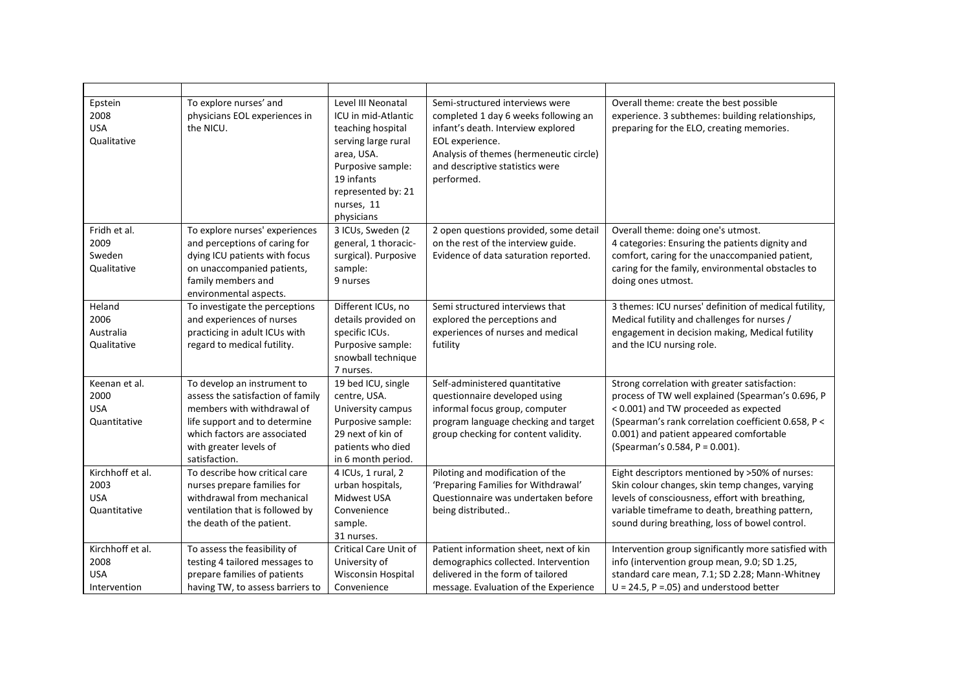| Epstein<br>2008<br><b>USA</b><br>Qualitative           | To explore nurses' and<br>physicians EOL experiences in<br>the NICU.                                                                                                                                       | Level III Neonatal<br>ICU in mid-Atlantic<br>teaching hospital<br>serving large rural<br>area, USA.<br>Purposive sample:<br>19 infants<br>represented by: 21<br>nurses, 11<br>physicians | Semi-structured interviews were<br>completed 1 day 6 weeks following an<br>infant's death. Interview explored<br>EOL experience.<br>Analysis of themes (hermeneutic circle)<br>and descriptive statistics were<br>performed. | Overall theme: create the best possible<br>experience. 3 subthemes: building relationships,<br>preparing for the ELO, creating memories.                                                                                                                                        |
|--------------------------------------------------------|------------------------------------------------------------------------------------------------------------------------------------------------------------------------------------------------------------|------------------------------------------------------------------------------------------------------------------------------------------------------------------------------------------|------------------------------------------------------------------------------------------------------------------------------------------------------------------------------------------------------------------------------|---------------------------------------------------------------------------------------------------------------------------------------------------------------------------------------------------------------------------------------------------------------------------------|
| Fridh et al.<br>2009<br>Sweden<br>Qualitative          | To explore nurses' experiences<br>and perceptions of caring for<br>dying ICU patients with focus<br>on unaccompanied patients,<br>family members and<br>environmental aspects.                             | 3 ICUs, Sweden (2<br>general, 1 thoracic-<br>surgical). Purposive<br>sample:<br>9 nurses                                                                                                 | 2 open questions provided, some detail<br>on the rest of the interview guide.<br>Evidence of data saturation reported.                                                                                                       | Overall theme: doing one's utmost.<br>4 categories: Ensuring the patients dignity and<br>comfort, caring for the unaccompanied patient,<br>caring for the family, environmental obstacles to<br>doing ones utmost.                                                              |
| Heland<br>2006<br>Australia<br>Qualitative             | To investigate the perceptions<br>and experiences of nurses<br>practicing in adult ICUs with<br>regard to medical futility.                                                                                | Different ICUs, no<br>details provided on<br>specific ICUs.<br>Purposive sample:<br>snowball technique<br>7 nurses.                                                                      | Semi structured interviews that<br>explored the perceptions and<br>experiences of nurses and medical<br>futility                                                                                                             | 3 themes: ICU nurses' definition of medical futility,<br>Medical futility and challenges for nurses /<br>engagement in decision making, Medical futility<br>and the ICU nursing role.                                                                                           |
| Keenan et al.<br>2000<br><b>USA</b><br>Quantitative    | To develop an instrument to<br>assess the satisfaction of family<br>members with withdrawal of<br>life support and to determine<br>which factors are associated<br>with greater levels of<br>satisfaction. | 19 bed ICU, single<br>centre, USA.<br>University campus<br>Purposive sample:<br>29 next of kin of<br>patients who died<br>in 6 month period.                                             | Self-administered quantitative<br>questionnaire developed using<br>informal focus group, computer<br>program language checking and target<br>group checking for content validity.                                            | Strong correlation with greater satisfaction:<br>process of TW well explained (Spearman's 0.696, P<br>< 0.001) and TW proceeded as expected<br>(Spearman's rank correlation coefficient 0.658, P <<br>0.001) and patient appeared comfortable<br>(Spearman's 0.584, P = 0.001). |
| Kirchhoff et al.<br>2003<br><b>USA</b><br>Quantitative | To describe how critical care<br>nurses prepare families for<br>withdrawal from mechanical<br>ventilation that is followed by<br>the death of the patient.                                                 | 4 ICUs, 1 rural, 2<br>urban hospitals,<br>Midwest USA<br>Convenience<br>sample.<br>31 nurses.                                                                                            | Piloting and modification of the<br>'Preparing Families for Withdrawal'<br>Questionnaire was undertaken before<br>being distributed                                                                                          | Eight descriptors mentioned by >50% of nurses:<br>Skin colour changes, skin temp changes, varying<br>levels of consciousness, effort with breathing,<br>variable timeframe to death, breathing pattern,<br>sound during breathing, loss of bowel control.                       |
| Kirchhoff et al.<br>2008<br><b>USA</b><br>Intervention | To assess the feasibility of<br>testing 4 tailored messages to<br>prepare families of patients<br>having TW, to assess barriers to                                                                         | Critical Care Unit of<br>University of<br>Wisconsin Hospital<br>Convenience                                                                                                              | Patient information sheet, next of kin<br>demographics collected. Intervention<br>delivered in the form of tailored<br>message. Evaluation of the Experience                                                                 | Intervention group significantly more satisfied with<br>info (intervention group mean, 9.0; SD 1.25,<br>standard care mean, 7.1; SD 2.28; Mann-Whitney<br>$U = 24.5$ , P = 05) and understood better                                                                            |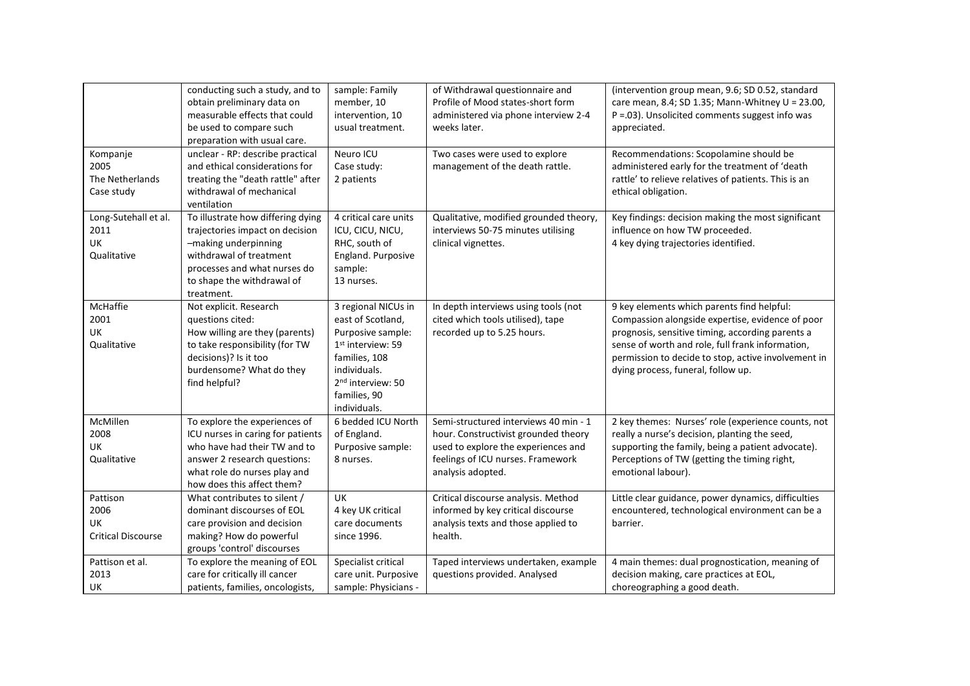|                                                     | conducting such a study, and to<br>obtain preliminary data on<br>measurable effects that could<br>be used to compare such<br>preparation with usual care.                                           | sample: Family<br>member, 10<br>intervention, 10<br>usual treatment.                                                                                                                             | of Withdrawal questionnaire and<br>Profile of Mood states-short form<br>administered via phone interview 2-4<br>weeks later.                                                   | (intervention group mean, 9.6; SD 0.52, standard<br>care mean, 8.4; SD 1.35; Mann-Whitney U = 23.00,<br>$P = 03$ ). Unsolicited comments suggest info was<br>appreciated.                                                                                                                           |
|-----------------------------------------------------|-----------------------------------------------------------------------------------------------------------------------------------------------------------------------------------------------------|--------------------------------------------------------------------------------------------------------------------------------------------------------------------------------------------------|--------------------------------------------------------------------------------------------------------------------------------------------------------------------------------|-----------------------------------------------------------------------------------------------------------------------------------------------------------------------------------------------------------------------------------------------------------------------------------------------------|
| Kompanje<br>2005<br>The Netherlands<br>Case study   | unclear - RP: describe practical<br>and ethical considerations for<br>treating the "death rattle" after<br>withdrawal of mechanical<br>ventilation                                                  | Neuro ICU<br>Case study:<br>2 patients                                                                                                                                                           | Two cases were used to explore<br>management of the death rattle.                                                                                                              | Recommendations: Scopolamine should be<br>administered early for the treatment of 'death<br>rattle' to relieve relatives of patients. This is an<br>ethical obligation.                                                                                                                             |
| Long-Sutehall et al.<br>2011<br>UK<br>Qualitative   | To illustrate how differing dying<br>trajectories impact on decision<br>-making underpinning<br>withdrawal of treatment<br>processes and what nurses do<br>to shape the withdrawal of<br>treatment. | 4 critical care units<br>ICU, CICU, NICU,<br>RHC, south of<br>England. Purposive<br>sample:<br>13 nurses.                                                                                        | Qualitative, modified grounded theory,<br>interviews 50-75 minutes utilising<br>clinical vignettes.                                                                            | Key findings: decision making the most significant<br>influence on how TW proceeded.<br>4 key dying trajectories identified.                                                                                                                                                                        |
| McHaffie<br>2001<br>UK<br>Qualitative               | Not explicit. Research<br>questions cited:<br>How willing are they (parents)<br>to take responsibility (for TW<br>decisions)? Is it too<br>burdensome? What do they<br>find helpful?                | 3 regional NICUs in<br>east of Scotland,<br>Purposive sample:<br>1 <sup>st</sup> interview: 59<br>families, 108<br>individuals.<br>2 <sup>nd</sup> interview: 50<br>families, 90<br>individuals. | In depth interviews using tools (not<br>cited which tools utilised), tape<br>recorded up to 5.25 hours.                                                                        | 9 key elements which parents find helpful:<br>Compassion alongside expertise, evidence of poor<br>prognosis, sensitive timing, according parents a<br>sense of worth and role, full frank information,<br>permission to decide to stop, active involvement in<br>dying process, funeral, follow up. |
| McMillen<br>2008<br>UK<br>Qualitative               | To explore the experiences of<br>ICU nurses in caring for patients<br>who have had their TW and to<br>answer 2 research questions:<br>what role do nurses play and<br>how does this affect them?    | 6 bedded ICU North<br>of England.<br>Purposive sample:<br>8 nurses.                                                                                                                              | Semi-structured interviews 40 min - 1<br>hour. Constructivist grounded theory<br>used to explore the experiences and<br>feelings of ICU nurses. Framework<br>analysis adopted. | 2 key themes: Nurses' role (experience counts, not<br>really a nurse's decision, planting the seed,<br>supporting the family, being a patient advocate).<br>Perceptions of TW (getting the timing right,<br>emotional labour).                                                                      |
| Pattison<br>2006<br>UK<br><b>Critical Discourse</b> | What contributes to silent /<br>dominant discourses of EOL<br>care provision and decision<br>making? How do powerful<br>groups 'control' discourses                                                 | <b>UK</b><br>4 key UK critical<br>care documents<br>since 1996.                                                                                                                                  | Critical discourse analysis. Method<br>informed by key critical discourse<br>analysis texts and those applied to<br>health.                                                    | Little clear guidance, power dynamics, difficulties<br>encountered, technological environment can be a<br>barrier.                                                                                                                                                                                  |
| Pattison et al.<br>2013<br>UK                       | To explore the meaning of EOL<br>care for critically ill cancer<br>patients, families, oncologists,                                                                                                 | Specialist critical<br>care unit. Purposive<br>sample: Physicians -                                                                                                                              | Taped interviews undertaken, example<br>questions provided. Analysed                                                                                                           | 4 main themes: dual prognostication, meaning of<br>decision making, care practices at EOL,<br>choreographing a good death.                                                                                                                                                                          |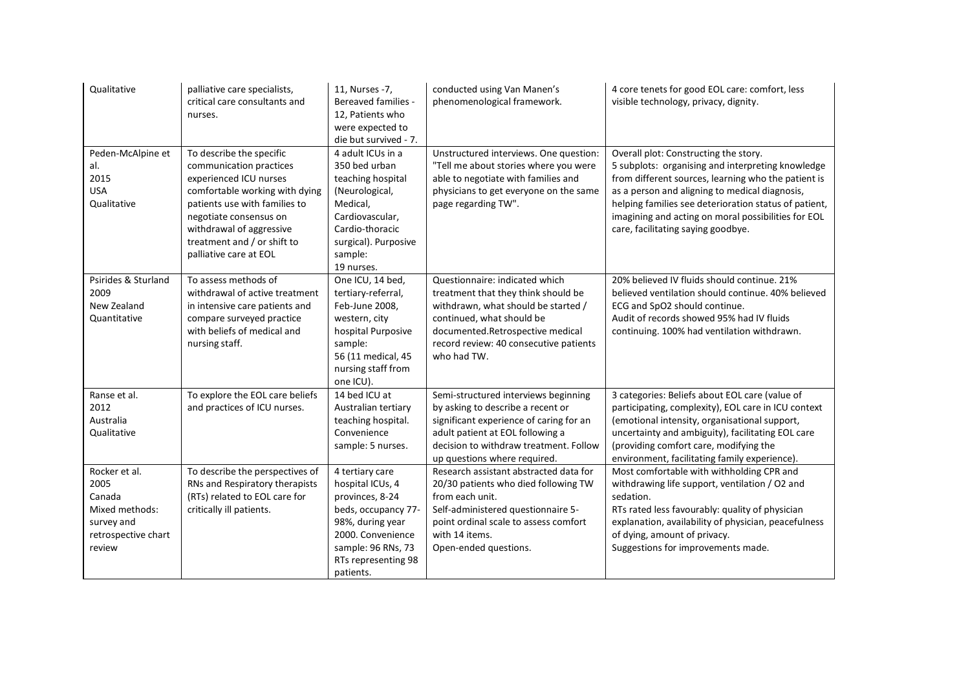| Qualitative                                                                                      | palliative care specialists,<br>critical care consultants and<br>nurses.                                                                                                                                                                                        | 11, Nurses -7,<br>Bereaved families -<br>12, Patients who<br>were expected to                                                                                                                         | conducted using Van Manen's<br>phenomenological framework.                                                                                                                                                                             | 4 core tenets for good EOL care: comfort, less<br>visible technology, privacy, dignity.                                                                                                                                                                                                                                                                   |
|--------------------------------------------------------------------------------------------------|-----------------------------------------------------------------------------------------------------------------------------------------------------------------------------------------------------------------------------------------------------------------|-------------------------------------------------------------------------------------------------------------------------------------------------------------------------------------------------------|----------------------------------------------------------------------------------------------------------------------------------------------------------------------------------------------------------------------------------------|-----------------------------------------------------------------------------------------------------------------------------------------------------------------------------------------------------------------------------------------------------------------------------------------------------------------------------------------------------------|
| Peden-McAlpine et<br>al.<br>2015<br><b>USA</b><br>Qualitative                                    | To describe the specific<br>communication practices<br>experienced ICU nurses<br>comfortable working with dying<br>patients use with families to<br>negotiate consensus on<br>withdrawal of aggressive<br>treatment and / or shift to<br>palliative care at EOL | die but survived - 7.<br>4 adult ICUs in a<br>350 bed urban<br>teaching hospital<br>(Neurological,<br>Medical,<br>Cardiovascular,<br>Cardio-thoracic<br>surgical). Purposive<br>sample:<br>19 nurses. | Unstructured interviews. One question:<br>"Tell me about stories where you were<br>able to negotiate with families and<br>physicians to get everyone on the same<br>page regarding TW".                                                | Overall plot: Constructing the story.<br>5 subplots: organising and interpreting knowledge<br>from different sources, learning who the patient is<br>as a person and aligning to medical diagnosis,<br>helping families see deterioration status of patient,<br>imagining and acting on moral possibilities for EOL<br>care, facilitating saying goodbye. |
| Psirides & Sturland<br>2009<br>New Zealand<br>Quantitative                                       | To assess methods of<br>withdrawal of active treatment<br>in intensive care patients and<br>compare surveyed practice<br>with beliefs of medical and<br>nursing staff.                                                                                          | One ICU, 14 bed,<br>tertiary-referral,<br>Feb-June 2008,<br>western, city<br>hospital Purposive<br>sample:<br>56 (11 medical, 45<br>nursing staff from<br>one ICU).                                   | Questionnaire: indicated which<br>treatment that they think should be<br>withdrawn, what should be started /<br>continued, what should be<br>documented.Retrospective medical<br>record review: 40 consecutive patients<br>who had TW. | 20% believed IV fluids should continue. 21%<br>believed ventilation should continue. 40% believed<br>ECG and SpO2 should continue.<br>Audit of records showed 95% had IV fluids<br>continuing. 100% had ventilation withdrawn.                                                                                                                            |
| Ranse et al.<br>2012<br>Australia<br>Qualitative                                                 | To explore the EOL care beliefs<br>and practices of ICU nurses.                                                                                                                                                                                                 | 14 bed ICU at<br>Australian tertiary<br>teaching hospital.<br>Convenience<br>sample: 5 nurses.                                                                                                        | Semi-structured interviews beginning<br>by asking to describe a recent or<br>significant experience of caring for an<br>adult patient at EOL following a<br>decision to withdraw treatment. Follow<br>up questions where required.     | 3 categories: Beliefs about EOL care (value of<br>participating, complexity), EOL care in ICU context<br>(emotional intensity, organisational support,<br>uncertainty and ambiguity), facilitating EOL care<br>(providing comfort care, modifying the<br>environment, facilitating family experience).                                                    |
| Rocker et al.<br>2005<br>Canada<br>Mixed methods:<br>survey and<br>retrospective chart<br>review | To describe the perspectives of<br>RNs and Respiratory therapists<br>(RTs) related to EOL care for<br>critically ill patients.                                                                                                                                  | 4 tertiary care<br>hospital ICUs, 4<br>provinces, 8-24<br>beds, occupancy 77-<br>98%, during year<br>2000. Convenience<br>sample: 96 RNs, 73<br>RTs representing 98<br>patients.                      | Research assistant abstracted data for<br>20/30 patients who died following TW<br>from each unit.<br>Self-administered questionnaire 5-<br>point ordinal scale to assess comfort<br>with 14 items.<br>Open-ended questions.            | Most comfortable with withholding CPR and<br>withdrawing life support, ventilation / O2 and<br>sedation.<br>RTs rated less favourably: quality of physician<br>explanation, availability of physician, peacefulness<br>of dying, amount of privacy.<br>Suggestions for improvements made.                                                                 |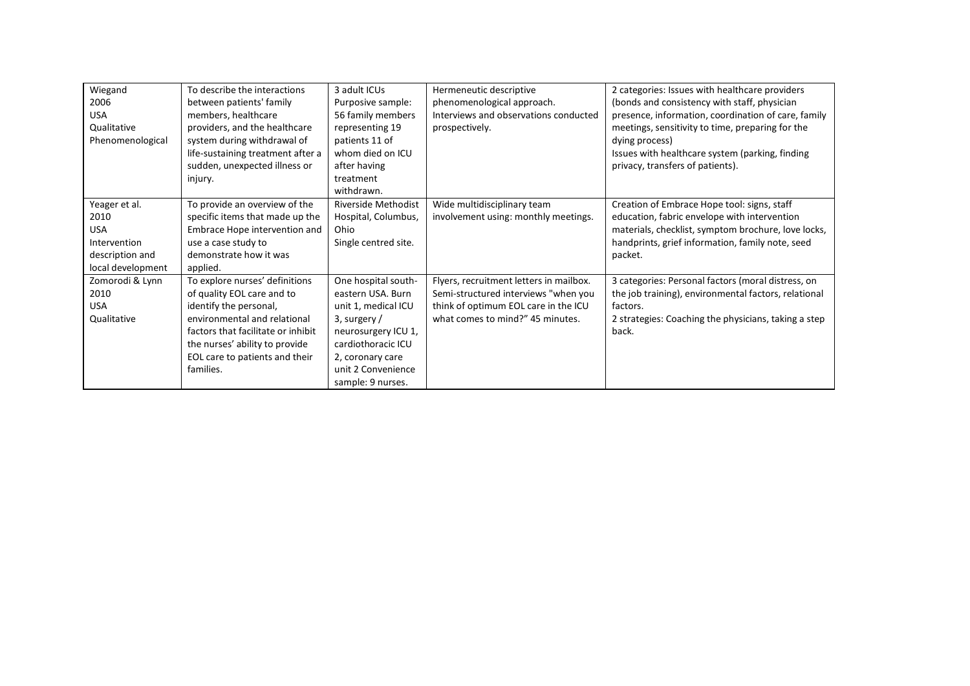| Wiegand           | To describe the interactions       | 3 adult ICUs         | Hermeneutic descriptive                 | 2 categories: Issues with healthcare providers       |
|-------------------|------------------------------------|----------------------|-----------------------------------------|------------------------------------------------------|
| 2006              | between patients' family           | Purposive sample:    | phenomenological approach.              | (bonds and consistency with staff, physician         |
| <b>USA</b>        | members, healthcare                | 56 family members    | Interviews and observations conducted   | presence, information, coordination of care, family  |
| Qualitative       | providers, and the healthcare      | representing 19      | prospectively.                          | meetings, sensitivity to time, preparing for the     |
| Phenomenological  | system during withdrawal of        | patients 11 of       |                                         | dying process)                                       |
|                   | life-sustaining treatment after a  | whom died on ICU     |                                         | Issues with healthcare system (parking, finding      |
|                   | sudden, unexpected illness or      | after having         |                                         | privacy, transfers of patients).                     |
|                   | injury.                            | treatment            |                                         |                                                      |
|                   |                                    | withdrawn.           |                                         |                                                      |
| Yeager et al.     | To provide an overview of the      | Riverside Methodist  | Wide multidisciplinary team             | Creation of Embrace Hope tool: signs, staff          |
| 2010              | specific items that made up the    | Hospital, Columbus,  | involvement using: monthly meetings.    | education, fabric envelope with intervention         |
| <b>USA</b>        | Embrace Hope intervention and      | Ohio                 |                                         | materials, checklist, symptom brochure, love locks,  |
| Intervention      | use a case study to                | Single centred site. |                                         | handprints, grief information, family note, seed     |
| description and   | demonstrate how it was             |                      |                                         | packet.                                              |
| local development | applied.                           |                      |                                         |                                                      |
| Zomorodi & Lynn   | To explore nurses' definitions     | One hospital south-  | Flyers, recruitment letters in mailbox. | 3 categories: Personal factors (moral distress, on   |
| 2010              | of quality EOL care and to         | eastern USA. Burn    | Semi-structured interviews "when you    | the job training), environmental factors, relational |
| <b>USA</b>        | identify the personal,             | unit 1, medical ICU  | think of optimum EOL care in the ICU    | factors.                                             |
| Qualitative       | environmental and relational       | 3, surgery $/$       | what comes to mind?" 45 minutes.        | 2 strategies: Coaching the physicians, taking a step |
|                   | factors that facilitate or inhibit | neurosurgery ICU 1,  |                                         | back.                                                |
|                   | the nurses' ability to provide     | cardiothoracic ICU   |                                         |                                                      |
|                   | EOL care to patients and their     | 2, coronary care     |                                         |                                                      |
|                   | families.                          | unit 2 Convenience   |                                         |                                                      |
|                   |                                    | sample: 9 nurses.    |                                         |                                                      |